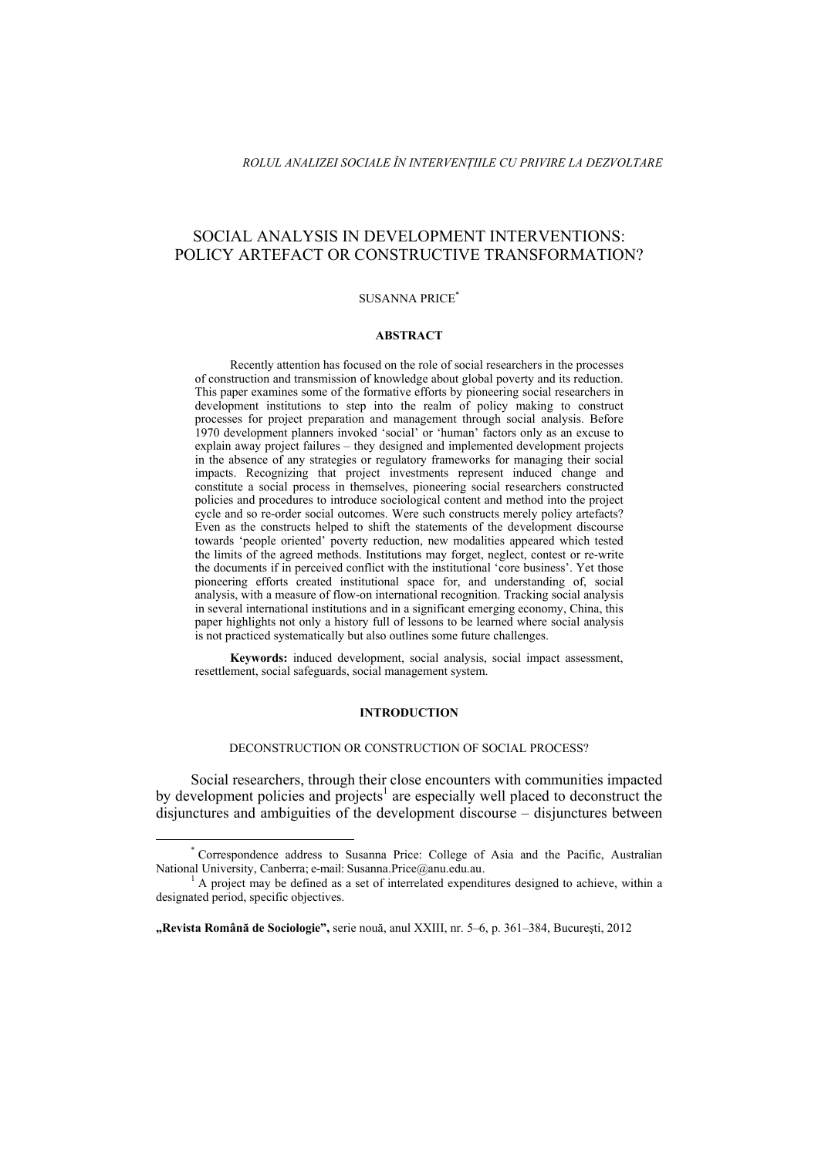# SOCIAL ANALYSIS IN DEVELOPMENT INTERVENTIONS: POLICY ARTEFACT OR CONSTRUCTIVE TRANSFORMATION?

# SUSANNA PRICE\*

#### **ABSTRACT**

Recently attention has focused on the role of social researchers in the processes of construction and transmission of knowledge about global poverty and its reduction. This paper examines some of the formative efforts by pioneering social researchers in development institutions to step into the realm of policy making to construct processes for project preparation and management through social analysis. Before 1970 development planners invoked 'social' or 'human' factors only as an excuse to explain away project failures – they designed and implemented development projects in the absence of any strategies or regulatory frameworks for managing their social impacts. Recognizing that project investments represent induced change and constitute a social process in themselves, pioneering social researchers constructed policies and procedures to introduce sociological content and method into the project cycle and so re-order social outcomes. Were such constructs merely policy artefacts? Even as the constructs helped to shift the statements of the development discourse towards 'people oriented' poverty reduction, new modalities appeared which tested the limits of the agreed methods. Institutions may forget, neglect, contest or re-write the documents if in perceived conflict with the institutional 'core business'. Yet those pioneering efforts created institutional space for, and understanding of, social analysis, with a measure of flow-on international recognition. Tracking social analysis in several international institutions and in a significant emerging economy, China, this paper highlights not only a history full of lessons to be learned where social analysis is not practiced systematically but also outlines some future challenges.

**Keywords:** induced development, social analysis, social impact assessment, resettlement, social safeguards, social management system.

#### **INTRODUCTION**

#### DECONSTRUCTION OR CONSTRUCTION OF SOCIAL PROCESS?

Social researchers, through their close encounters with communities impacted by development policies and projects<sup>1</sup> are especially well placed to deconstruct the disjunctures and ambiguities of the development discourse – disjunctures between

 <sup>\*</sup> Correspondence address to Susanna Price: College of Asia and the Pacific, Australian National University, Canberra; e-mail: Susanna.Price@anu.edu.au. <sup>1</sup>

 $^{1}$  A project may be defined as a set of interrelated expenditures designed to achieve, within a designated period, specific objectives.

**<sup>&</sup>quot;Revista Română de Sociologie",** serie nouă, anul XXIII, nr. 5–6, p. 361–384, Bucureşti, 2012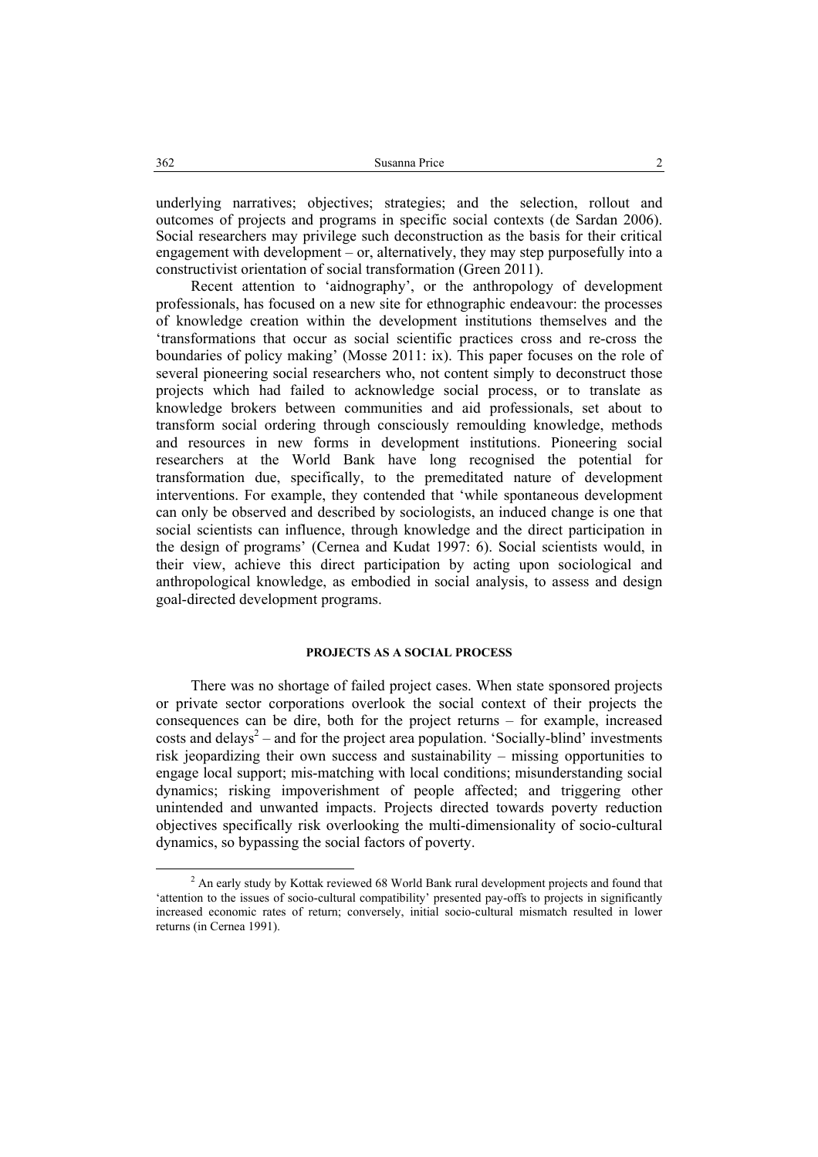underlying narratives; objectives; strategies; and the selection, rollout and outcomes of projects and programs in specific social contexts (de Sardan 2006). Social researchers may privilege such deconstruction as the basis for their critical engagement with development – or, alternatively, they may step purposefully into a constructivist orientation of social transformation (Green 2011).

Recent attention to 'aidnography', or the anthropology of development professionals, has focused on a new site for ethnographic endeavour: the processes of knowledge creation within the development institutions themselves and the 'transformations that occur as social scientific practices cross and re-cross the boundaries of policy making' (Mosse 2011: ix). This paper focuses on the role of several pioneering social researchers who, not content simply to deconstruct those projects which had failed to acknowledge social process, or to translate as knowledge brokers between communities and aid professionals, set about to transform social ordering through consciously remoulding knowledge, methods and resources in new forms in development institutions. Pioneering social researchers at the World Bank have long recognised the potential for transformation due, specifically, to the premeditated nature of development interventions. For example, they contended that 'while spontaneous development can only be observed and described by sociologists, an induced change is one that social scientists can influence, through knowledge and the direct participation in the design of programs' (Cernea and Kudat 1997: 6). Social scientists would, in their view, achieve this direct participation by acting upon sociological and anthropological knowledge, as embodied in social analysis, to assess and design goal-directed development programs.

# **PROJECTS AS A SOCIAL PROCESS**

There was no shortage of failed project cases. When state sponsored projects or private sector corporations overlook the social context of their projects the consequences can be dire, both for the project returns – for example, increased costs and delays<sup>2</sup> – and for the project area population. 'Socially-blind' investments risk jeopardizing their own success and sustainability – missing opportunities to engage local support; mis-matching with local conditions; misunderstanding social dynamics; risking impoverishment of people affected; and triggering other unintended and unwanted impacts. Projects directed towards poverty reduction objectives specifically risk overlooking the multi-dimensionality of socio-cultural dynamics, so bypassing the social factors of poverty.

 <sup>2</sup> <sup>2</sup> An early study by Kottak reviewed 68 World Bank rural development projects and found that 'attention to the issues of socio-cultural compatibility' presented pay-offs to projects in significantly increased economic rates of return; conversely, initial socio-cultural mismatch resulted in lower returns (in Cernea 1991).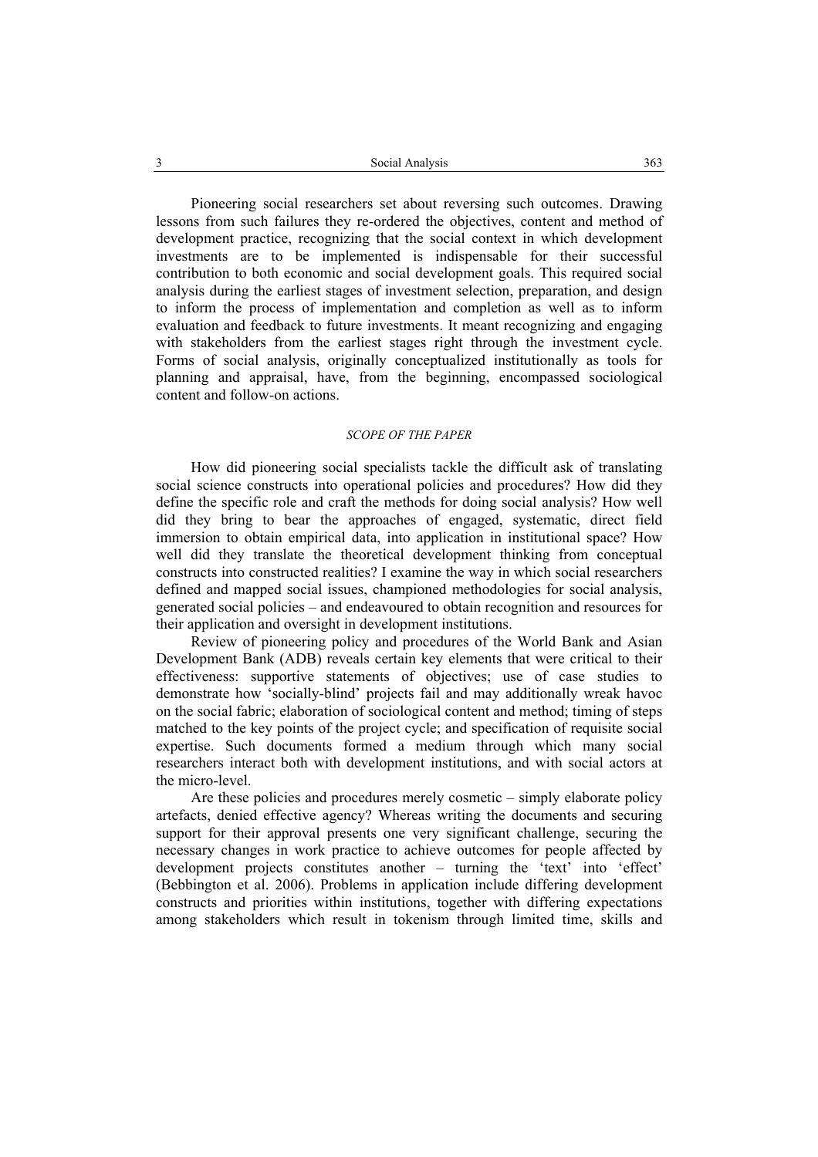Pioneering social researchers set about reversing such outcomes. Drawing lessons from such failures they re-ordered the objectives, content and method of development practice, recognizing that the social context in which development investments are to be implemented is indispensable for their successful contribution to both economic and social development goals. This required social analysis during the earliest stages of investment selection, preparation, and design to inform the process of implementation and completion as well as to inform evaluation and feedback to future investments. It meant recognizing and engaging with stakeholders from the earliest stages right through the investment cycle. Forms of social analysis, originally conceptualized institutionally as tools for planning and appraisal, have, from the beginning, encompassed sociological content and follow-on actions.

#### *SCOPE OF THE PAPER*

How did pioneering social specialists tackle the difficult ask of translating social science constructs into operational policies and procedures? How did they define the specific role and craft the methods for doing social analysis? How well did they bring to bear the approaches of engaged, systematic, direct field immersion to obtain empirical data, into application in institutional space? How well did they translate the theoretical development thinking from conceptual constructs into constructed realities? I examine the way in which social researchers defined and mapped social issues, championed methodologies for social analysis, generated social policies – and endeavoured to obtain recognition and resources for their application and oversight in development institutions.

Review of pioneering policy and procedures of the World Bank and Asian Development Bank (ADB) reveals certain key elements that were critical to their effectiveness: supportive statements of objectives; use of case studies to demonstrate how 'socially-blind' projects fail and may additionally wreak havoc on the social fabric; elaboration of sociological content and method; timing of steps matched to the key points of the project cycle; and specification of requisite social expertise. Such documents formed a medium through which many social researchers interact both with development institutions, and with social actors at the micro-level.

Are these policies and procedures merely cosmetic – simply elaborate policy artefacts, denied effective agency? Whereas writing the documents and securing support for their approval presents one very significant challenge, securing the necessary changes in work practice to achieve outcomes for people affected by development projects constitutes another – turning the 'text' into 'effect' (Bebbington et al. 2006). Problems in application include differing development constructs and priorities within institutions, together with differing expectations among stakeholders which result in tokenism through limited time, skills and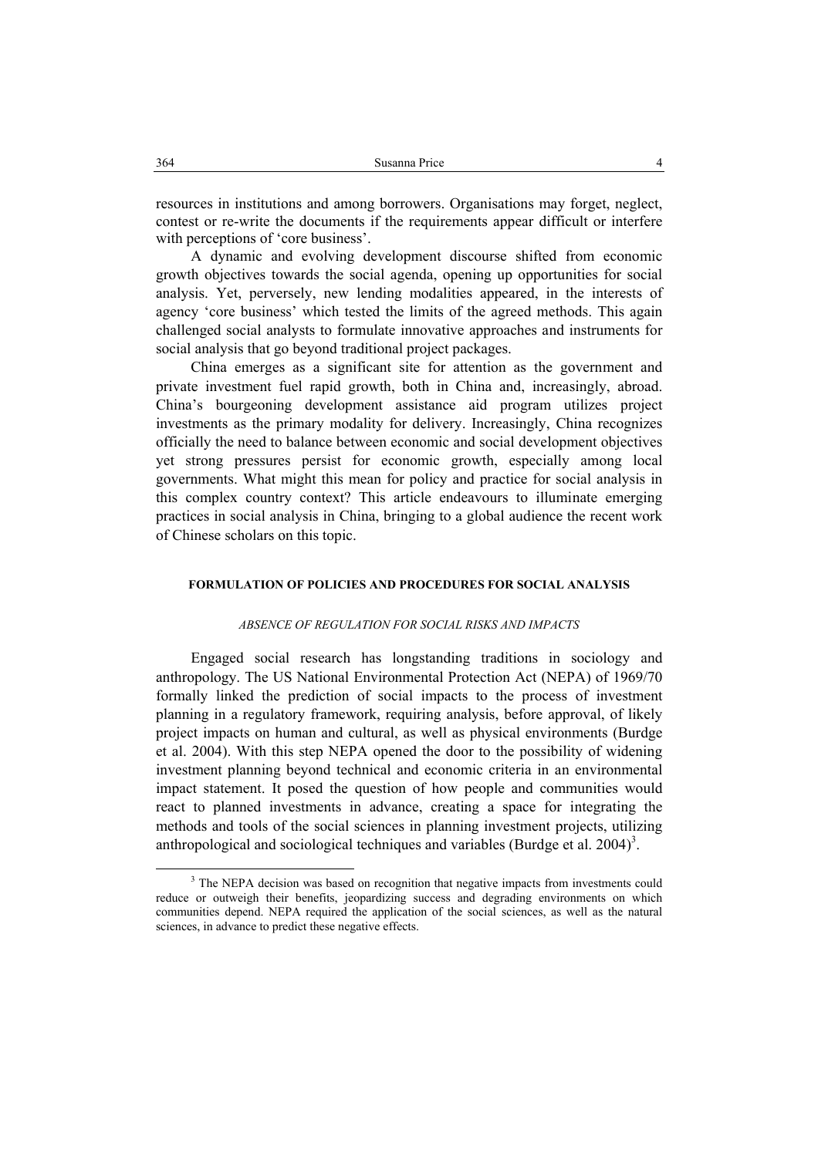resources in institutions and among borrowers. Organisations may forget, neglect, contest or re-write the documents if the requirements appear difficult or interfere with perceptions of 'core business'.

A dynamic and evolving development discourse shifted from economic growth objectives towards the social agenda, opening up opportunities for social analysis. Yet, perversely, new lending modalities appeared, in the interests of agency 'core business' which tested the limits of the agreed methods. This again challenged social analysts to formulate innovative approaches and instruments for social analysis that go beyond traditional project packages.

China emerges as a significant site for attention as the government and private investment fuel rapid growth, both in China and, increasingly, abroad. China's bourgeoning development assistance aid program utilizes project investments as the primary modality for delivery. Increasingly, China recognizes officially the need to balance between economic and social development objectives yet strong pressures persist for economic growth, especially among local governments. What might this mean for policy and practice for social analysis in this complex country context? This article endeavours to illuminate emerging practices in social analysis in China, bringing to a global audience the recent work of Chinese scholars on this topic.

### **FORMULATION OF POLICIES AND PROCEDURES FOR SOCIAL ANALYSIS**

#### *ABSENCE OF REGULATION FOR SOCIAL RISKS AND IMPACTS*

Engaged social research has longstanding traditions in sociology and anthropology. The US National Environmental Protection Act (NEPA) of 1969/70 formally linked the prediction of social impacts to the process of investment planning in a regulatory framework, requiring analysis, before approval, of likely project impacts on human and cultural, as well as physical environments (Burdge et al. 2004). With this step NEPA opened the door to the possibility of widening investment planning beyond technical and economic criteria in an environmental impact statement. It posed the question of how people and communities would react to planned investments in advance, creating a space for integrating the methods and tools of the social sciences in planning investment projects, utilizing anthropological and sociological techniques and variables (Burdge et al.  $2004$ <sup>3</sup>.

 $\frac{3}{3}$ <sup>3</sup> The NEPA decision was based on recognition that negative impacts from investments could reduce or outweigh their benefits, jeopardizing success and degrading environments on which communities depend. NEPA required the application of the social sciences, as well as the natural sciences, in advance to predict these negative effects.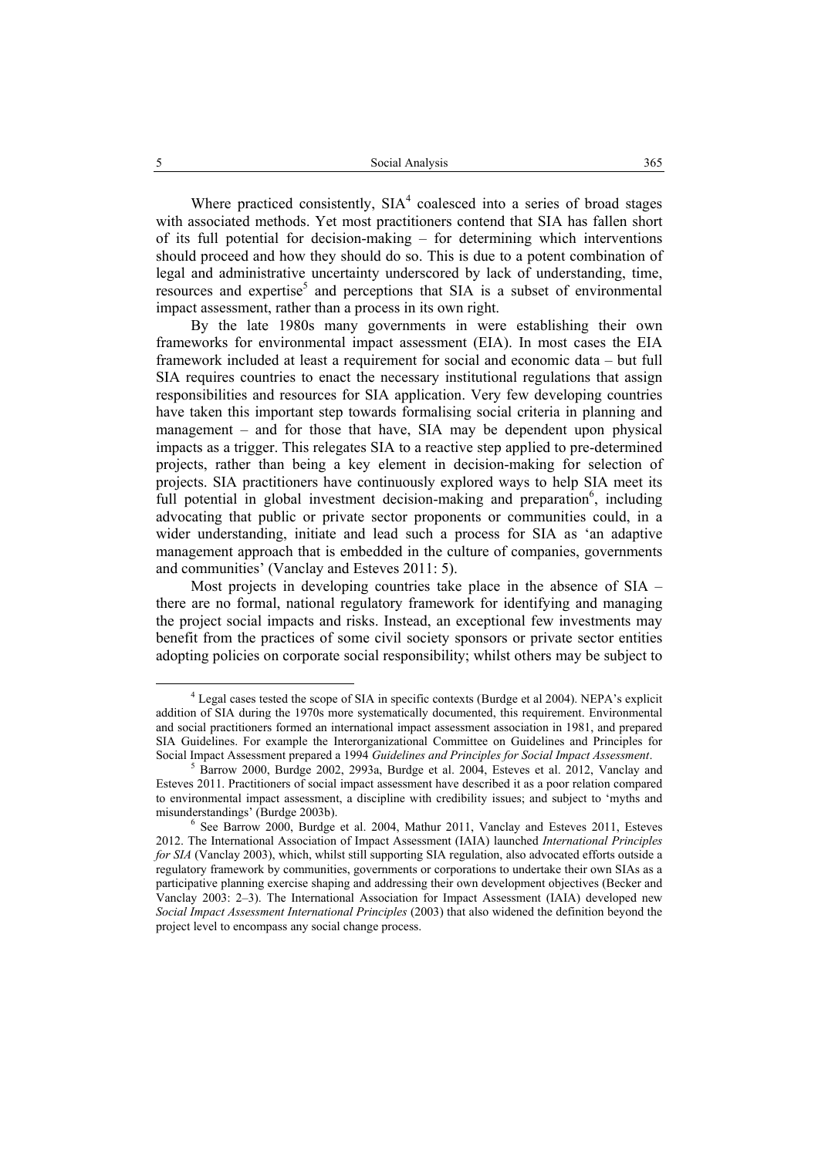Where practiced consistently,  $SIA<sup>4</sup>$  coalesced into a series of broad stages with associated methods. Yet most practitioners contend that SIA has fallen short of its full potential for decision-making – for determining which interventions should proceed and how they should do so. This is due to a potent combination of legal and administrative uncertainty underscored by lack of understanding, time,  $resources$  and expertise<sup>5</sup> and perceptions that SIA is a subset of environmental impact assessment, rather than a process in its own right.

By the late 1980s many governments in were establishing their own frameworks for environmental impact assessment (EIA). In most cases the EIA framework included at least a requirement for social and economic data – but full SIA requires countries to enact the necessary institutional regulations that assign responsibilities and resources for SIA application. Very few developing countries have taken this important step towards formalising social criteria in planning and management – and for those that have, SIA may be dependent upon physical impacts as a trigger. This relegates SIA to a reactive step applied to pre-determined projects, rather than being a key element in decision-making for selection of projects. SIA practitioners have continuously explored ways to help SIA meet its full potential in global investment decision-making and preparation<sup>6</sup>, including advocating that public or private sector proponents or communities could, in a wider understanding, initiate and lead such a process for SIA as 'an adaptive management approach that is embedded in the culture of companies, governments and communities' (Vanclay and Esteves 2011: 5).

Most projects in developing countries take place in the absence of SIA – there are no formal, national regulatory framework for identifying and managing the project social impacts and risks. Instead, an exceptional few investments may benefit from the practices of some civil society sponsors or private sector entities adopting policies on corporate social responsibility; whilst others may be subject to

 $\overline{4}$  Legal cases tested the scope of SIA in specific contexts (Burdge et al 2004). NEPA's explicit addition of SIA during the 1970s more systematically documented, this requirement. Environmental and social practitioners formed an international impact assessment association in 1981, and prepared SIA Guidelines. For example the Interorganizational Committee on Guidelines and Principles for Social Impact Assessment prepared a 1994 *Guidelines and Principles for Social Impact Assessment*. <sup>5</sup>

 $5$  Barrow 2000, Burdge 2002, 2993a, Burdge et al. 2004, Esteves et al. 2012, Vanclay and Esteves 2011. Practitioners of social impact assessment have described it as a poor relation compared to environmental impact assessment, a discipline with credibility issues; and subject to 'myths and misunderstandings' (Burdge 2003b).

See Barrow 2000, Burdge et al. 2004, Mathur 2011, Vanclay and Esteves 2011, Esteves 2012. The International Association of Impact Assessment (IAIA) launched *International Principles for SIA* (Vanclay 2003), which, whilst still supporting SIA regulation, also advocated efforts outside a regulatory framework by communities, governments or corporations to undertake their own SIAs as a participative planning exercise shaping and addressing their own development objectives (Becker and Vanclay 2003: 2–3). The International Association for Impact Assessment (IAIA) developed new *Social Impact Assessment International Principles* (2003) that also widened the definition beyond the project level to encompass any social change process.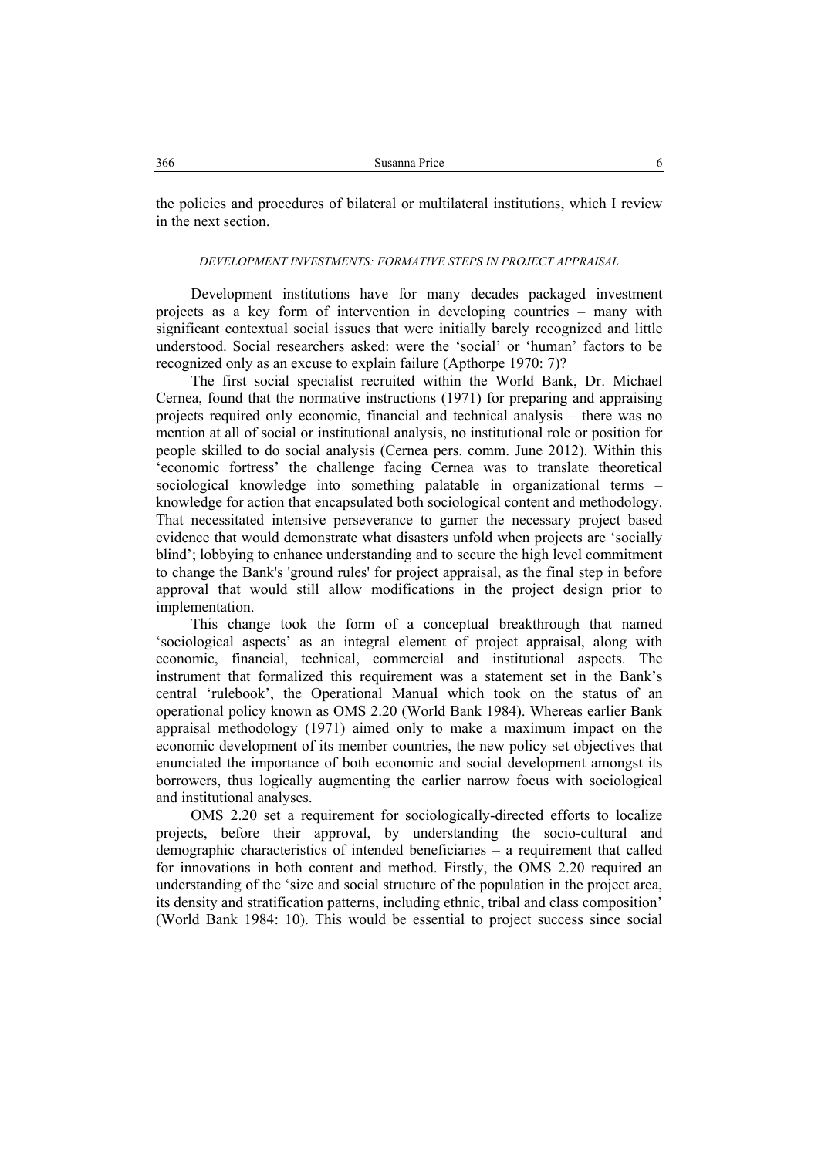the policies and procedures of bilateral or multilateral institutions, which I review in the next section.

### *DEVELOPMENT INVESTMENTS: FORMATIVE STEPS IN PROJECT APPRAISAL*

Development institutions have for many decades packaged investment projects as a key form of intervention in developing countries – many with significant contextual social issues that were initially barely recognized and little understood. Social researchers asked: were the 'social' or 'human' factors to be recognized only as an excuse to explain failure (Apthorpe 1970: 7)?

The first social specialist recruited within the World Bank, Dr. Michael Cernea, found that the normative instructions (1971) for preparing and appraising projects required only economic, financial and technical analysis – there was no mention at all of social or institutional analysis, no institutional role or position for people skilled to do social analysis (Cernea pers. comm. June 2012). Within this 'economic fortress' the challenge facing Cernea was to translate theoretical sociological knowledge into something palatable in organizational terms – knowledge for action that encapsulated both sociological content and methodology. That necessitated intensive perseverance to garner the necessary project based evidence that would demonstrate what disasters unfold when projects are 'socially blind'; lobbying to enhance understanding and to secure the high level commitment to change the Bank's 'ground rules' for project appraisal, as the final step in before approval that would still allow modifications in the project design prior to implementation.

This change took the form of a conceptual breakthrough that named 'sociological aspects' as an integral element of project appraisal, along with economic, financial, technical, commercial and institutional aspects. The instrument that formalized this requirement was a statement set in the Bank's central 'rulebook', the Operational Manual which took on the status of an operational policy known as OMS 2.20 (World Bank 1984). Whereas earlier Bank appraisal methodology (1971) aimed only to make a maximum impact on the economic development of its member countries, the new policy set objectives that enunciated the importance of both economic and social development amongst its borrowers, thus logically augmenting the earlier narrow focus with sociological and institutional analyses.

OMS 2.20 set a requirement for sociologically-directed efforts to localize projects, before their approval, by understanding the socio-cultural and demographic characteristics of intended beneficiaries – a requirement that called for innovations in both content and method. Firstly, the OMS 2.20 required an understanding of the 'size and social structure of the population in the project area, its density and stratification patterns, including ethnic, tribal and class composition' (World Bank 1984: 10). This would be essential to project success since social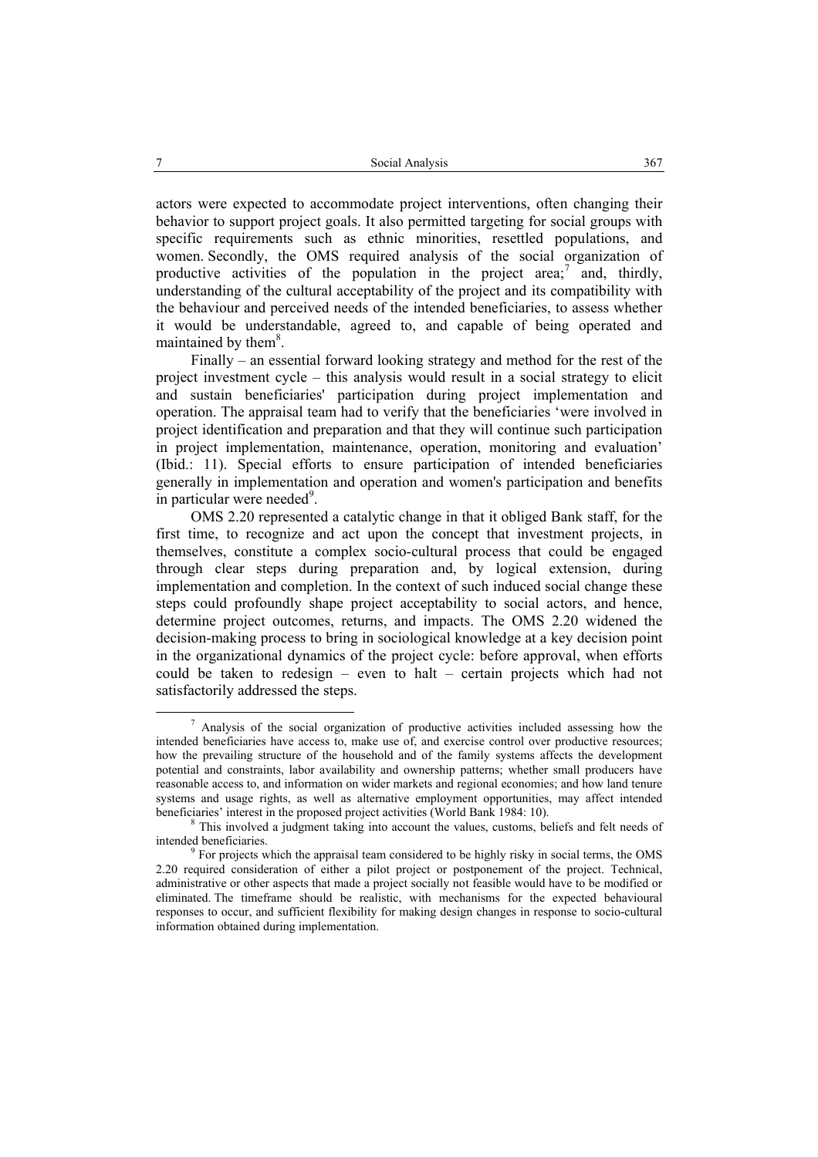actors were expected to accommodate project interventions, often changing their behavior to support project goals. It also permitted targeting for social groups with specific requirements such as ethnic minorities, resettled populations, and women. Secondly, the OMS required analysis of the social organization of productive activities of the population in the project area;<sup>7</sup> and, thirdly, understanding of the cultural acceptability of the project and its compatibility with the behaviour and perceived needs of the intended beneficiaries, to assess whether it would be understandable, agreed to, and capable of being operated and maintained by them $8$ .

Finally – an essential forward looking strategy and method for the rest of the project investment cycle – this analysis would result in a social strategy to elicit and sustain beneficiaries' participation during project implementation and operation. The appraisal team had to verify that the beneficiaries 'were involved in project identification and preparation and that they will continue such participation in project implementation, maintenance, operation, monitoring and evaluation' (Ibid.: 11). Special efforts to ensure participation of intended beneficiaries generally in implementation and operation and women's participation and benefits in particular were needed<sup>9</sup>.

OMS 2.20 represented a catalytic change in that it obliged Bank staff, for the first time, to recognize and act upon the concept that investment projects, in themselves, constitute a complex socio-cultural process that could be engaged through clear steps during preparation and, by logical extension, during implementation and completion. In the context of such induced social change these steps could profoundly shape project acceptability to social actors, and hence, determine project outcomes, returns, and impacts. The OMS 2.20 widened the decision-making process to bring in sociological knowledge at a key decision point in the organizational dynamics of the project cycle: before approval, when efforts could be taken to redesign – even to halt – certain projects which had not satisfactorily addressed the steps.

 $\frac{1}{7}$  $7$  Analysis of the social organization of productive activities included assessing how the intended beneficiaries have access to, make use of, and exercise control over productive resources; how the prevailing structure of the household and of the family systems affects the development potential and constraints, labor availability and ownership patterns; whether small producers have reasonable access to, and information on wider markets and regional economies; and how land tenure systems and usage rights, as well as alternative employment opportunities, may affect intended beneficiaries' interest in the proposed project activities (World Bank 1984: 10).

This involved a judgment taking into account the values, customs, beliefs and felt needs of intended beneficiaries.

 $9$  For projects which the appraisal team considered to be highly risky in social terms, the OMS 2.20 required consideration of either a pilot project or postponement of the project. Technical, administrative or other aspects that made a project socially not feasible would have to be modified or eliminated. The timeframe should be realistic, with mechanisms for the expected behavioural responses to occur, and sufficient flexibility for making design changes in response to socio-cultural information obtained during implementation.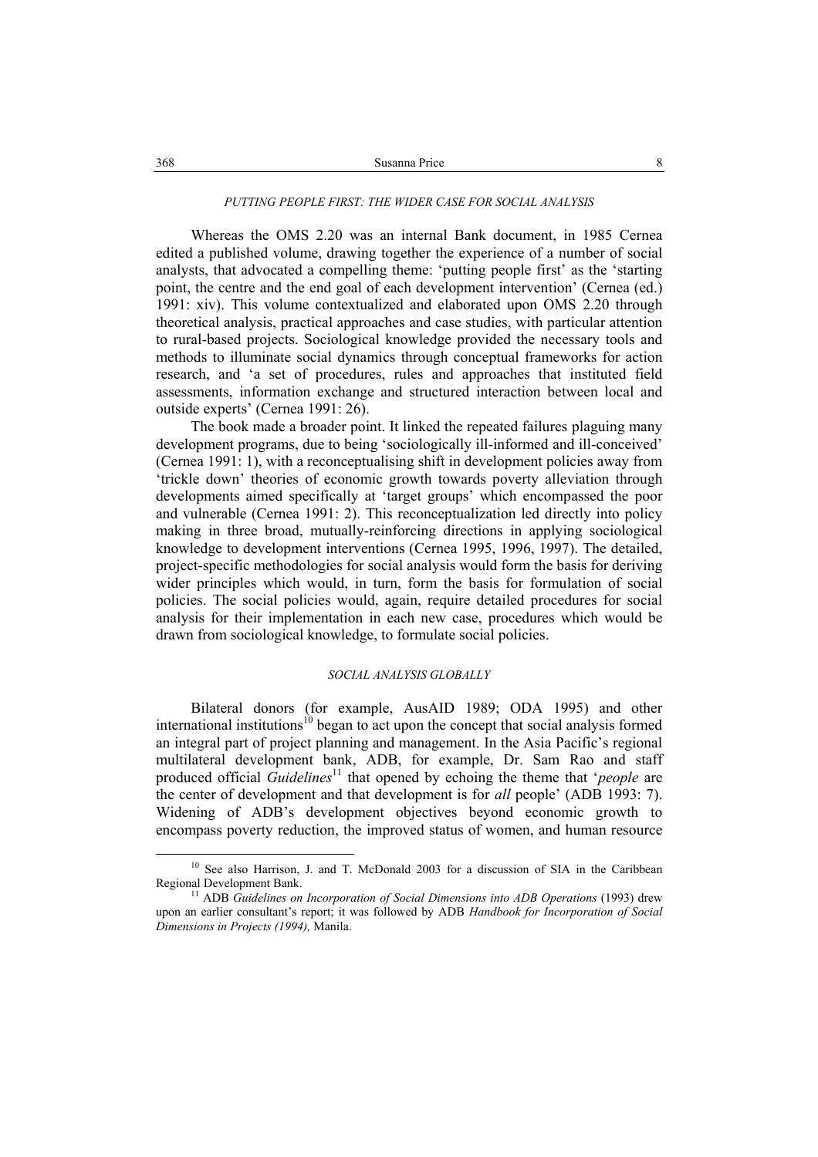# *PUTTING PEOPLE FIRST: THE WIDER CASE FOR SOCIAL ANALYSIS*

Whereas the OMS 2.20 was an internal Bank document, in 1985 Cernea edited a published volume, drawing together the experience of a number of social analysts, that advocated a compelling theme: 'putting people first' as the 'starting point, the centre and the end goal of each development intervention' (Cernea (ed.) 1991: xiv). This volume contextualized and elaborated upon OMS 2.20 through theoretical analysis, practical approaches and case studies, with particular attention to rural-based projects. Sociological knowledge provided the necessary tools and methods to illuminate social dynamics through conceptual frameworks for action research, and 'a set of procedures, rules and approaches that instituted field assessments, information exchange and structured interaction between local and outside experts' (Cernea 1991: 26).

The book made a broader point. It linked the repeated failures plaguing many development programs, due to being 'sociologically ill-informed and ill-conceived' (Cernea 1991: 1), with a reconceptualising shift in development policies away from 'trickle down' theories of economic growth towards poverty alleviation through developments aimed specifically at 'target groups' which encompassed the poor and vulnerable (Cernea 1991: 2). This reconceptualization led directly into policy making in three broad, mutually-reinforcing directions in applying sociological knowledge to development interventions (Cernea 1995, 1996, 1997). The detailed, project-specific methodologies for social analysis would form the basis for deriving wider principles which would, in turn, form the basis for formulation of social policies. The social policies would, again, require detailed procedures for social analysis for their implementation in each new case, procedures which would be drawn from sociological knowledge, to formulate social policies.

### *SOCIAL ANALYSIS GLOBALLY*

Bilateral donors (for example, AusAID 1989; ODA 1995) and other international institutions<sup>10</sup> began to act upon the concept that social analysis formed an integral part of project planning and management. In the Asia Pacific's regional multilateral development bank, ADB, for example, Dr. Sam Rao and staff produced official *Guidelines*<sup>11</sup> that opened by echoing the theme that *'people* are the center of development and that development is for *all* people' (ADB 1993: 7). Widening of ADB's development objectives beyond economic growth to encompass poverty reduction, the improved status of women, and human resource

<sup>&</sup>lt;sup>10</sup> See also Harrison, J. and T. McDonald 2003 for a discussion of SIA in the Caribbean Regional Development Bank.

 $R^{11}$  ADB *Guidelines on Incorporation of Social Dimensions into ADB Operations* (1993) drew upon an earlier consultant's report; it was followed by ADB *Handbook for Incorporation of Social Dimensions in Projects (1994),* Manila.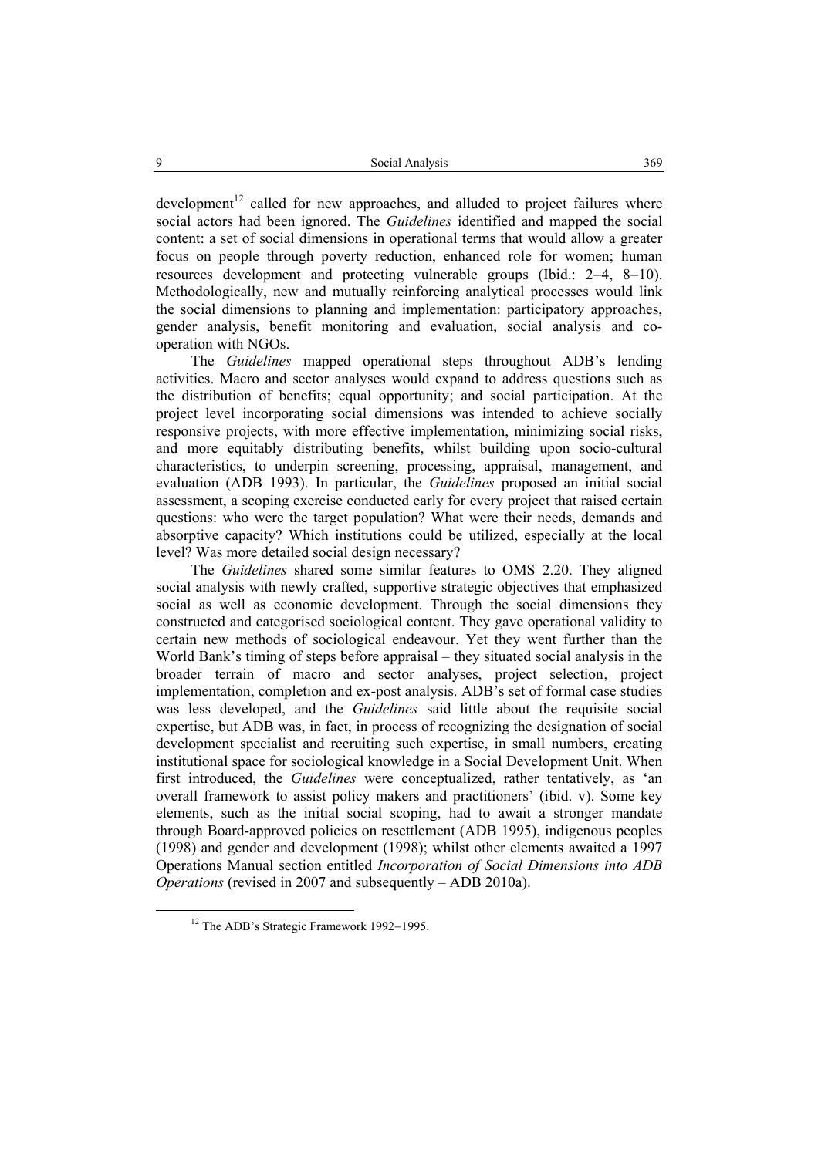$d$ evelopment<sup>12</sup> called for new approaches, and alluded to project failures where social actors had been ignored. The *Guidelines* identified and mapped the social content: a set of social dimensions in operational terms that would allow a greater focus on people through poverty reduction, enhanced role for women; human resources development and protecting vulnerable groups (Ibid.: 2−4, 8−10). Methodologically, new and mutually reinforcing analytical processes would link the social dimensions to planning and implementation: participatory approaches, gender analysis, benefit monitoring and evaluation, social analysis and cooperation with NGOs.

The *Guidelines* mapped operational steps throughout ADB's lending activities. Macro and sector analyses would expand to address questions such as the distribution of benefits; equal opportunity; and social participation. At the project level incorporating social dimensions was intended to achieve socially responsive projects, with more effective implementation, minimizing social risks, and more equitably distributing benefits, whilst building upon socio-cultural characteristics, to underpin screening, processing, appraisal, management, and evaluation (ADB 1993). In particular, the *Guidelines* proposed an initial social assessment, a scoping exercise conducted early for every project that raised certain questions: who were the target population? What were their needs, demands and absorptive capacity? Which institutions could be utilized, especially at the local level? Was more detailed social design necessary?

The *Guidelines* shared some similar features to OMS 2.20. They aligned social analysis with newly crafted, supportive strategic objectives that emphasized social as well as economic development. Through the social dimensions they constructed and categorised sociological content. They gave operational validity to certain new methods of sociological endeavour. Yet they went further than the World Bank's timing of steps before appraisal – they situated social analysis in the broader terrain of macro and sector analyses, project selection, project implementation, completion and ex-post analysis. ADB's set of formal case studies was less developed, and the *Guidelines* said little about the requisite social expertise, but ADB was, in fact, in process of recognizing the designation of social development specialist and recruiting such expertise, in small numbers, creating institutional space for sociological knowledge in a Social Development Unit. When first introduced, the *Guidelines* were conceptualized, rather tentatively, as 'an overall framework to assist policy makers and practitioners' (ibid. v). Some key elements, such as the initial social scoping, had to await a stronger mandate through Board-approved policies on resettlement (ADB 1995), indigenous peoples (1998) and gender and development (1998); whilst other elements awaited a 1997 Operations Manual section entitled *Incorporation of Social Dimensions into ADB Operations* (revised in 2007 and subsequently – ADB 2010a).

 <sup>12</sup> The ADB's Strategic Framework 1992−1995.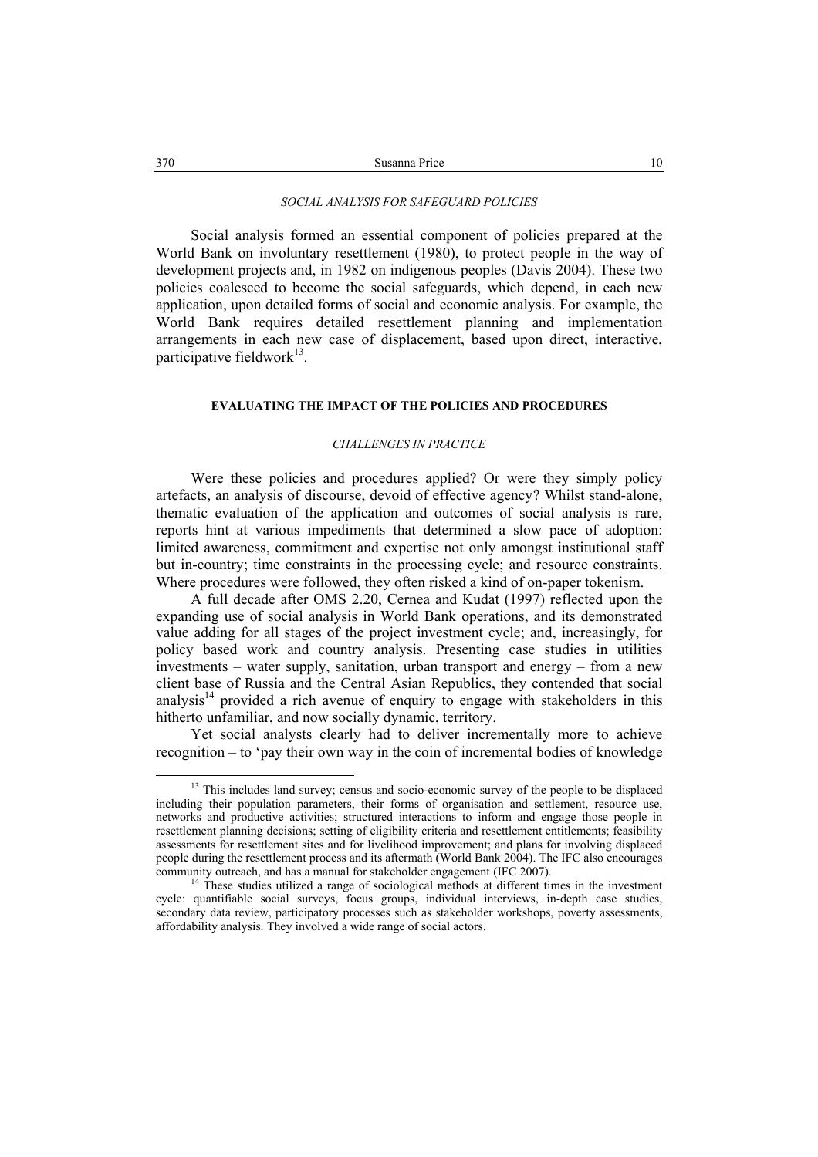### *SOCIAL ANALYSIS FOR SAFEGUARD POLICIES*

Social analysis formed an essential component of policies prepared at the World Bank on involuntary resettlement (1980), to protect people in the way of development projects and, in 1982 on indigenous peoples (Davis 2004). These two policies coalesced to become the social safeguards, which depend, in each new application, upon detailed forms of social and economic analysis. For example, the World Bank requires detailed resettlement planning and implementation arrangements in each new case of displacement, based upon direct, interactive, participative fieldwork $13$ .

# **EVALUATING THE IMPACT OF THE POLICIES AND PROCEDURES**

### *CHALLENGES IN PRACTICE*

Were these policies and procedures applied? Or were they simply policy artefacts, an analysis of discourse, devoid of effective agency? Whilst stand-alone, thematic evaluation of the application and outcomes of social analysis is rare, reports hint at various impediments that determined a slow pace of adoption: limited awareness, commitment and expertise not only amongst institutional staff but in-country; time constraints in the processing cycle; and resource constraints. Where procedures were followed, they often risked a kind of on-paper tokenism.

A full decade after OMS 2.20, Cernea and Kudat (1997) reflected upon the expanding use of social analysis in World Bank operations, and its demonstrated value adding for all stages of the project investment cycle; and, increasingly, for policy based work and country analysis. Presenting case studies in utilities investments – water supply, sanitation, urban transport and energy – from a new client base of Russia and the Central Asian Republics, they contended that social analysis $14$  provided a rich avenue of enquiry to engage with stakeholders in this hitherto unfamiliar, and now socially dynamic, territory.

Yet social analysts clearly had to deliver incrementally more to achieve recognition – to 'pay their own way in the coin of incremental bodies of knowledge

<sup>&</sup>lt;sup>13</sup> This includes land survey; census and socio-economic survey of the people to be displaced including their population parameters, their forms of organisation and settlement, resource use, networks and productive activities; structured interactions to inform and engage those people in resettlement planning decisions; setting of eligibility criteria and resettlement entitlements; feasibility assessments for resettlement sites and for livelihood improvement; and plans for involving displaced people during the resettlement process and its aftermath (World Bank 2004). The IFC also encourages community outreach, and has a manual for stakeholder engagement (IFC 2007).

<sup>&</sup>lt;sup>14</sup> These studies utilized a range of sociological methods at different times in the investment cycle: quantifiable social surveys, focus groups, individual interviews, in-depth case studies, secondary data review, participatory processes such as stakeholder workshops, poverty assessments, affordability analysis. They involved a wide range of social actors.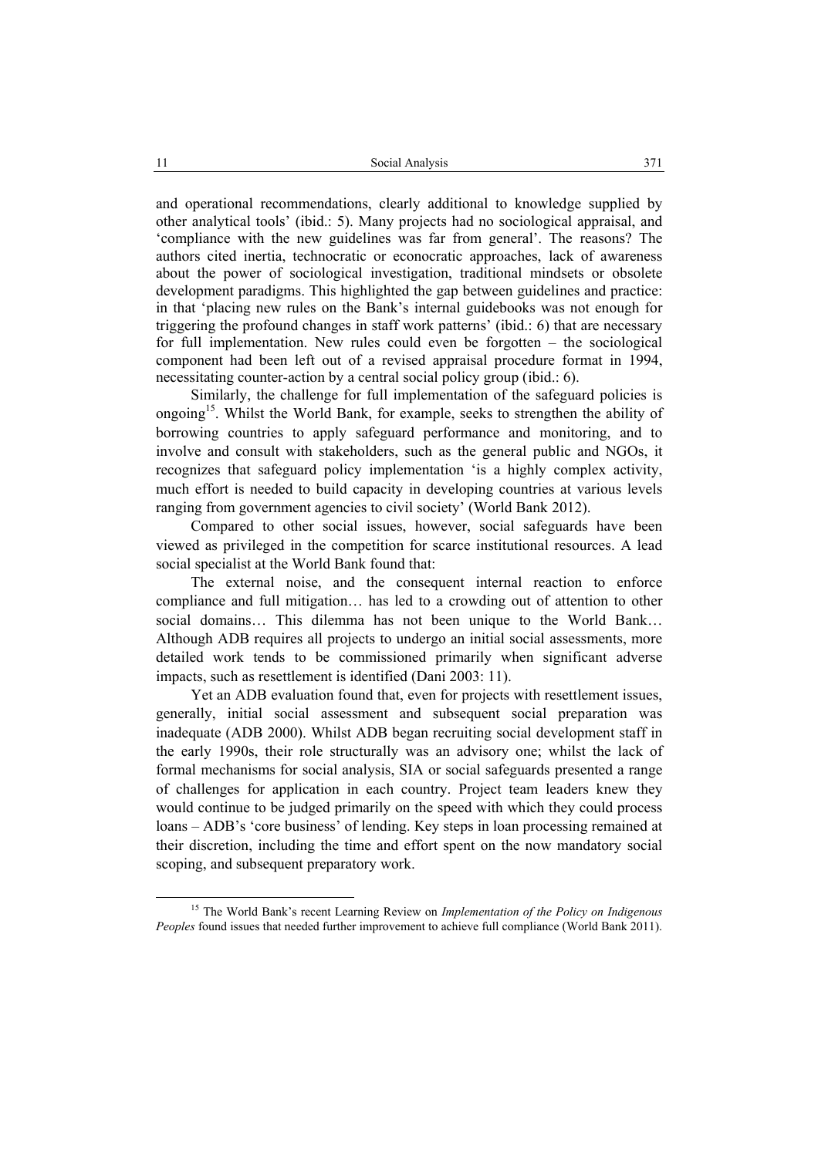and operational recommendations, clearly additional to knowledge supplied by other analytical tools' (ibid.: 5). Many projects had no sociological appraisal, and 'compliance with the new guidelines was far from general'. The reasons? The authors cited inertia, technocratic or econocratic approaches, lack of awareness about the power of sociological investigation, traditional mindsets or obsolete development paradigms. This highlighted the gap between guidelines and practice: in that 'placing new rules on the Bank's internal guidebooks was not enough for triggering the profound changes in staff work patterns' (ibid.: 6) that are necessary for full implementation. New rules could even be forgotten – the sociological component had been left out of a revised appraisal procedure format in 1994, necessitating counter-action by a central social policy group (ibid.: 6).

Similarly, the challenge for full implementation of the safeguard policies is ongoing<sup>15</sup>. Whilst the World Bank, for example, seeks to strengthen the ability of borrowing countries to apply safeguard performance and monitoring, and to involve and consult with stakeholders, such as the general public and NGOs, it recognizes that safeguard policy implementation 'is a highly complex activity, much effort is needed to build capacity in developing countries at various levels ranging from government agencies to civil society' (World Bank 2012).

Compared to other social issues, however, social safeguards have been viewed as privileged in the competition for scarce institutional resources. A lead social specialist at the World Bank found that:

The external noise, and the consequent internal reaction to enforce compliance and full mitigation… has led to a crowding out of attention to other social domains… This dilemma has not been unique to the World Bank… Although ADB requires all projects to undergo an initial social assessments, more detailed work tends to be commissioned primarily when significant adverse impacts, such as resettlement is identified (Dani 2003: 11).

Yet an ADB evaluation found that, even for projects with resettlement issues, generally, initial social assessment and subsequent social preparation was inadequate (ADB 2000). Whilst ADB began recruiting social development staff in the early 1990s, their role structurally was an advisory one; whilst the lack of formal mechanisms for social analysis, SIA or social safeguards presented a range of challenges for application in each country. Project team leaders knew they would continue to be judged primarily on the speed with which they could process loans – ADB's 'core business' of lending. Key steps in loan processing remained at their discretion, including the time and effort spent on the now mandatory social scoping, and subsequent preparatory work.

 <sup>15</sup> The World Bank's recent Learning Review on *Implementation of the Policy on Indigenous Peoples* found issues that needed further improvement to achieve full compliance (World Bank 2011).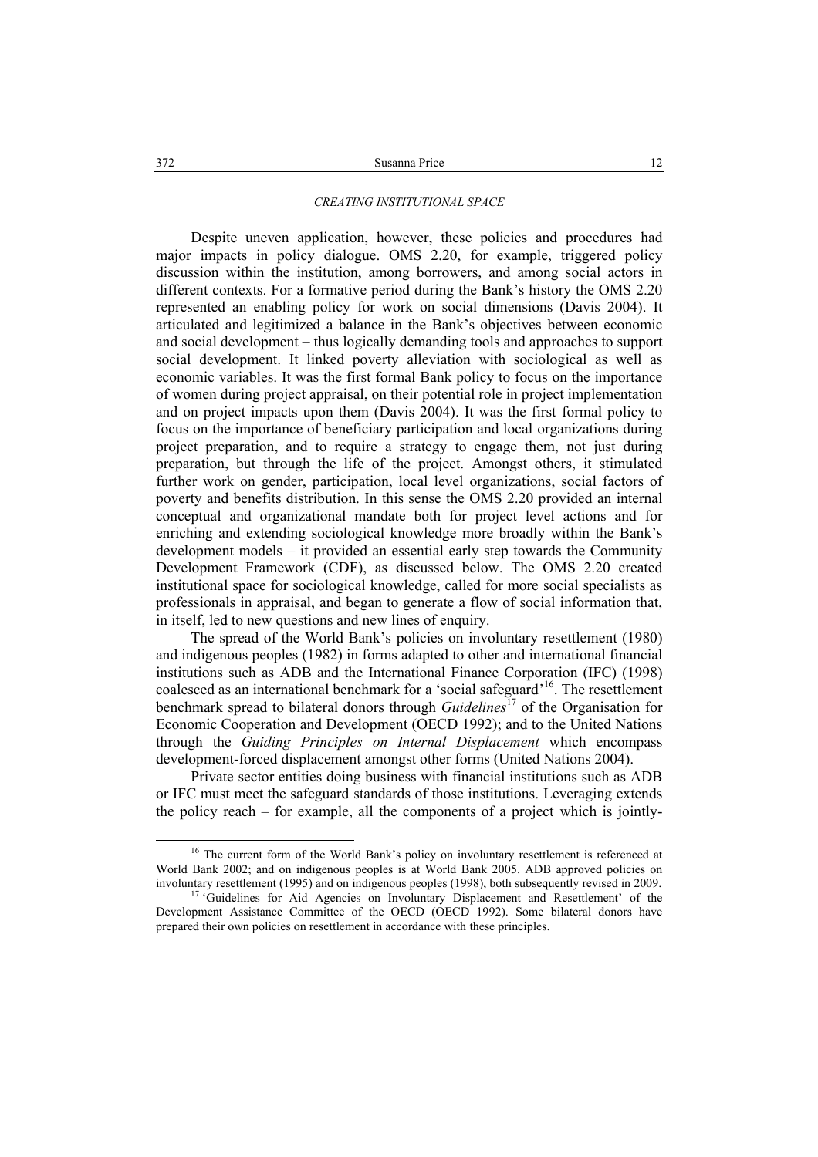### *CREATING INSTITUTIONAL SPACE*

Despite uneven application, however, these policies and procedures had major impacts in policy dialogue. OMS 2.20, for example, triggered policy discussion within the institution, among borrowers, and among social actors in different contexts. For a formative period during the Bank's history the OMS 2.20 represented an enabling policy for work on social dimensions (Davis 2004). It articulated and legitimized a balance in the Bank's objectives between economic and social development – thus logically demanding tools and approaches to support social development. It linked poverty alleviation with sociological as well as economic variables. It was the first formal Bank policy to focus on the importance of women during project appraisal, on their potential role in project implementation and on project impacts upon them (Davis 2004). It was the first formal policy to focus on the importance of beneficiary participation and local organizations during project preparation, and to require a strategy to engage them, not just during preparation, but through the life of the project. Amongst others, it stimulated further work on gender, participation, local level organizations, social factors of poverty and benefits distribution. In this sense the OMS 2.20 provided an internal conceptual and organizational mandate both for project level actions and for enriching and extending sociological knowledge more broadly within the Bank's development models – it provided an essential early step towards the Community Development Framework (CDF), as discussed below. The OMS 2.20 created institutional space for sociological knowledge, called for more social specialists as professionals in appraisal, and began to generate a flow of social information that, in itself, led to new questions and new lines of enquiry.

The spread of the World Bank's policies on involuntary resettlement (1980) and indigenous peoples (1982) in forms adapted to other and international financial institutions such as ADB and the International Finance Corporation (IFC) (1998) coalesced as an international benchmark for a 'social safeguard' 16. The resettlement benchmark spread to bilateral donors through *Guidelines*<sup>17</sup> of the Organisation for Economic Cooperation and Development (OECD 1992); and to the United Nations through the *Guiding Principles on Internal Displacement* which encompass development-forced displacement amongst other forms (United Nations 2004).

Private sector entities doing business with financial institutions such as ADB or IFC must meet the safeguard standards of those institutions. Leveraging extends the policy reach – for example, all the components of a project which is jointly-

<sup>&</sup>lt;sup>16</sup> The current form of the World Bank's policy on involuntary resettlement is referenced at World Bank 2002; and on indigenous peoples is at World Bank 2005. ADB approved policies on involuntary resettlement (1995) and on indigenous peoples (1998), both subsequently revised in 2009. 17 'Guidelines for Aid Agencies on Involuntary Displacement and Resettlement' of the

Development Assistance Committee of the OECD (OECD 1992). Some bilateral donors have prepared their own policies on resettlement in accordance with these principles.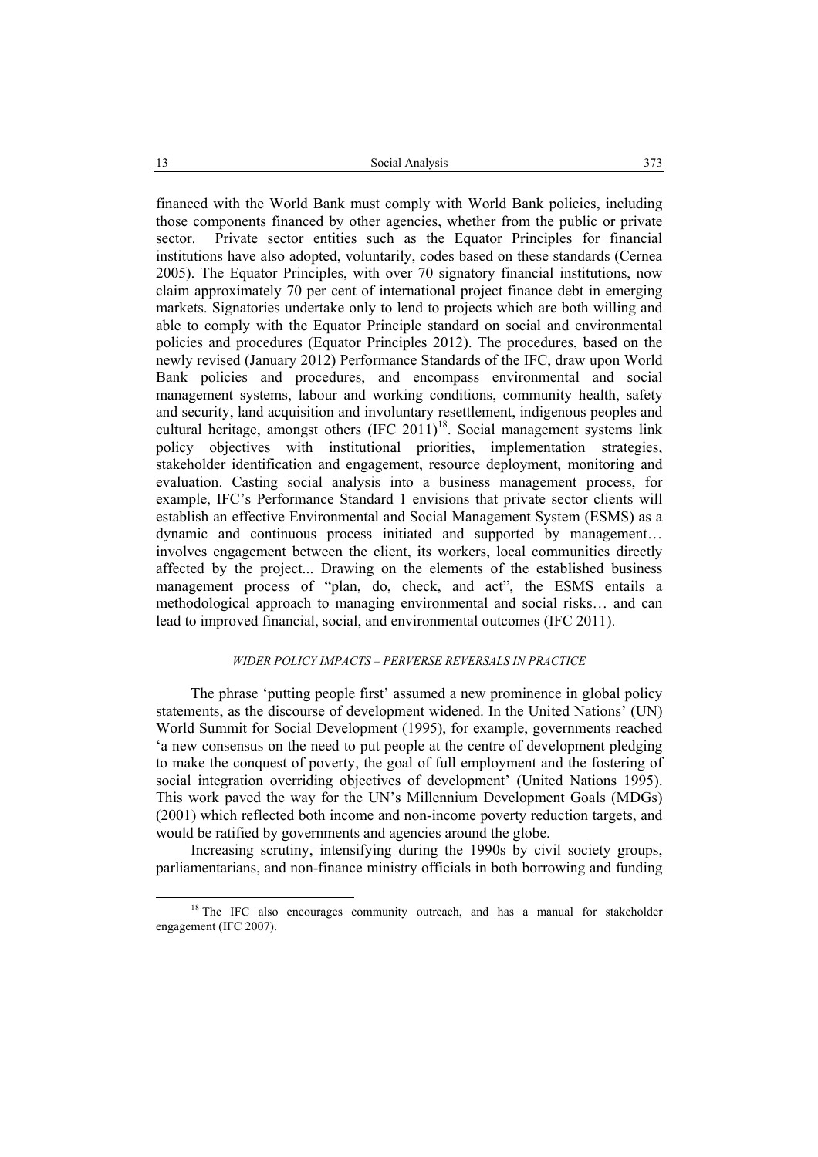financed with the World Bank must comply with World Bank policies, including those components financed by other agencies, whether from the public or private sector. Private sector entities such as the Equator Principles for financial institutions have also adopted, voluntarily, codes based on these standards (Cernea 2005). The Equator Principles, with over 70 signatory financial institutions, now claim approximately 70 per cent of international project finance debt in emerging markets. Signatories undertake only to lend to projects which are both willing and able to comply with the Equator Principle standard on social and environmental policies and procedures (Equator Principles 2012). The procedures, based on the newly revised (January 2012) Performance Standards of the IFC, draw upon World Bank policies and procedures, and encompass environmental and social management systems, labour and working conditions, community health, safety and security, land acquisition and involuntary resettlement, indigenous peoples and cultural heritage, amongst others  $(IFC 2011)<sup>18</sup>$ . Social management systems link policy objectives with institutional priorities, implementation strategies, stakeholder identification and engagement, resource deployment, monitoring and evaluation. Casting social analysis into a business management process, for example, IFC's Performance Standard 1 envisions that private sector clients will establish an effective Environmental and Social Management System (ESMS) as a dynamic and continuous process initiated and supported by management… involves engagement between the client, its workers, local communities directly affected by the project... Drawing on the elements of the established business management process of "plan, do, check, and act", the ESMS entails a methodological approach to managing environmental and social risks… and can lead to improved financial, social, and environmental outcomes (IFC 2011).

# *WIDER POLICY IMPACTS – PERVERSE REVERSALS IN PRACTICE*

The phrase 'putting people first' assumed a new prominence in global policy statements, as the discourse of development widened. In the United Nations' (UN) World Summit for Social Development (1995), for example, governments reached 'a new consensus on the need to put people at the centre of development pledging to make the conquest of poverty, the goal of full employment and the fostering of social integration overriding objectives of development' (United Nations 1995). This work paved the way for the UN's Millennium Development Goals (MDGs) (2001) which reflected both income and non-income poverty reduction targets, and would be ratified by governments and agencies around the globe.

Increasing scrutiny, intensifying during the 1990s by civil society groups, parliamentarians, and non-finance ministry officials in both borrowing and funding

<sup>&</sup>lt;sup>18</sup> The IFC also encourages community outreach, and has a manual for stakeholder engagement (IFC 2007).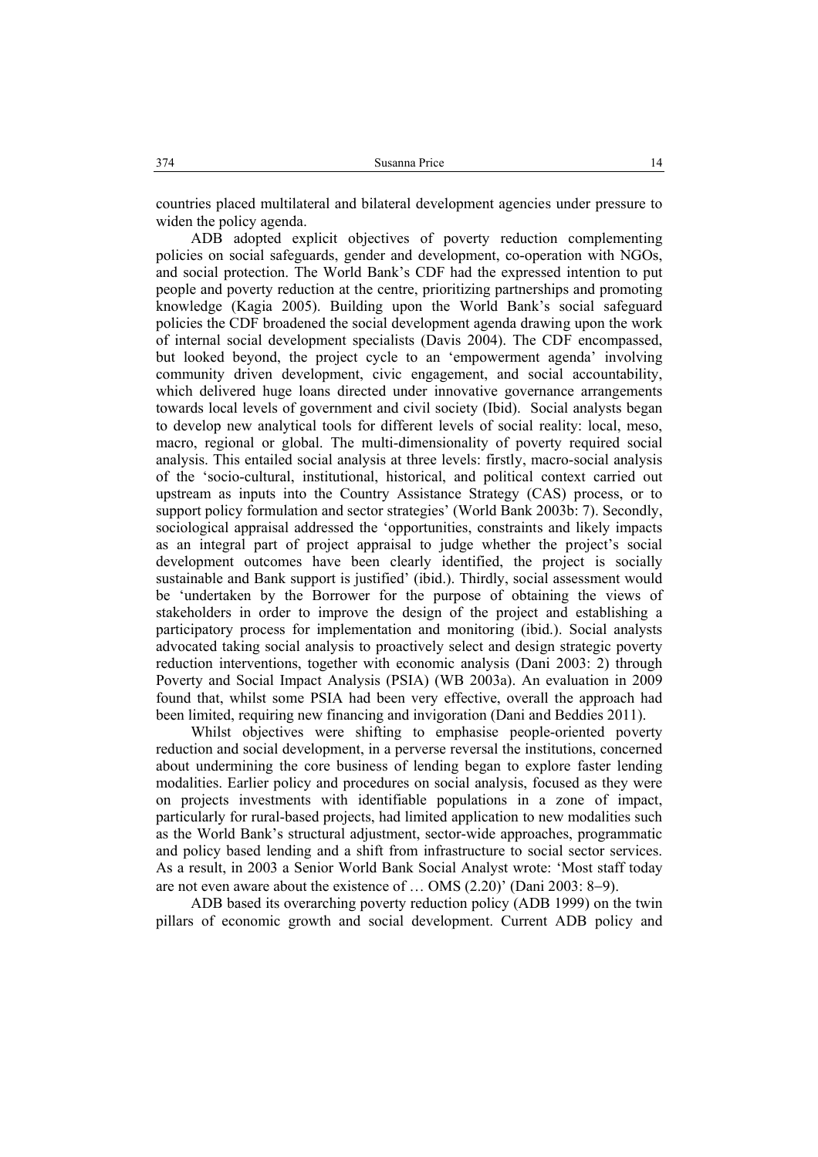countries placed multilateral and bilateral development agencies under pressure to widen the policy agenda.

ADB adopted explicit objectives of poverty reduction complementing policies on social safeguards, gender and development, co-operation with NGOs, and social protection. The World Bank's CDF had the expressed intention to put people and poverty reduction at the centre, prioritizing partnerships and promoting knowledge (Kagia 2005). Building upon the World Bank's social safeguard policies the CDF broadened the social development agenda drawing upon the work of internal social development specialists (Davis 2004). The CDF encompassed, but looked beyond, the project cycle to an 'empowerment agenda' involving community driven development, civic engagement, and social accountability, which delivered huge loans directed under innovative governance arrangements towards local levels of government and civil society (Ibid). Social analysts began to develop new analytical tools for different levels of social reality: local, meso, macro, regional or global. The multi-dimensionality of poverty required social analysis. This entailed social analysis at three levels: firstly, macro-social analysis of the 'socio-cultural, institutional, historical, and political context carried out upstream as inputs into the Country Assistance Strategy (CAS) process, or to support policy formulation and sector strategies' (World Bank 2003b: 7). Secondly, sociological appraisal addressed the 'opportunities, constraints and likely impacts as an integral part of project appraisal to judge whether the project's social development outcomes have been clearly identified, the project is socially sustainable and Bank support is justified' (ibid.). Thirdly, social assessment would be 'undertaken by the Borrower for the purpose of obtaining the views of stakeholders in order to improve the design of the project and establishing a participatory process for implementation and monitoring (ibid.). Social analysts advocated taking social analysis to proactively select and design strategic poverty reduction interventions, together with economic analysis (Dani 2003: 2) through Poverty and Social Impact Analysis (PSIA) (WB 2003a). An evaluation in 2009 found that, whilst some PSIA had been very effective, overall the approach had been limited, requiring new financing and invigoration (Dani and Beddies 2011).

Whilst objectives were shifting to emphasise people-oriented poverty reduction and social development, in a perverse reversal the institutions, concerned about undermining the core business of lending began to explore faster lending modalities. Earlier policy and procedures on social analysis, focused as they were on projects investments with identifiable populations in a zone of impact, particularly for rural-based projects, had limited application to new modalities such as the World Bank's structural adjustment, sector-wide approaches, programmatic and policy based lending and a shift from infrastructure to social sector services. As a result, in 2003 a Senior World Bank Social Analyst wrote: 'Most staff today are not even aware about the existence of … OMS (2.20)' (Dani 2003: 8−9).

ADB based its overarching poverty reduction policy (ADB 1999) on the twin pillars of economic growth and social development. Current ADB policy and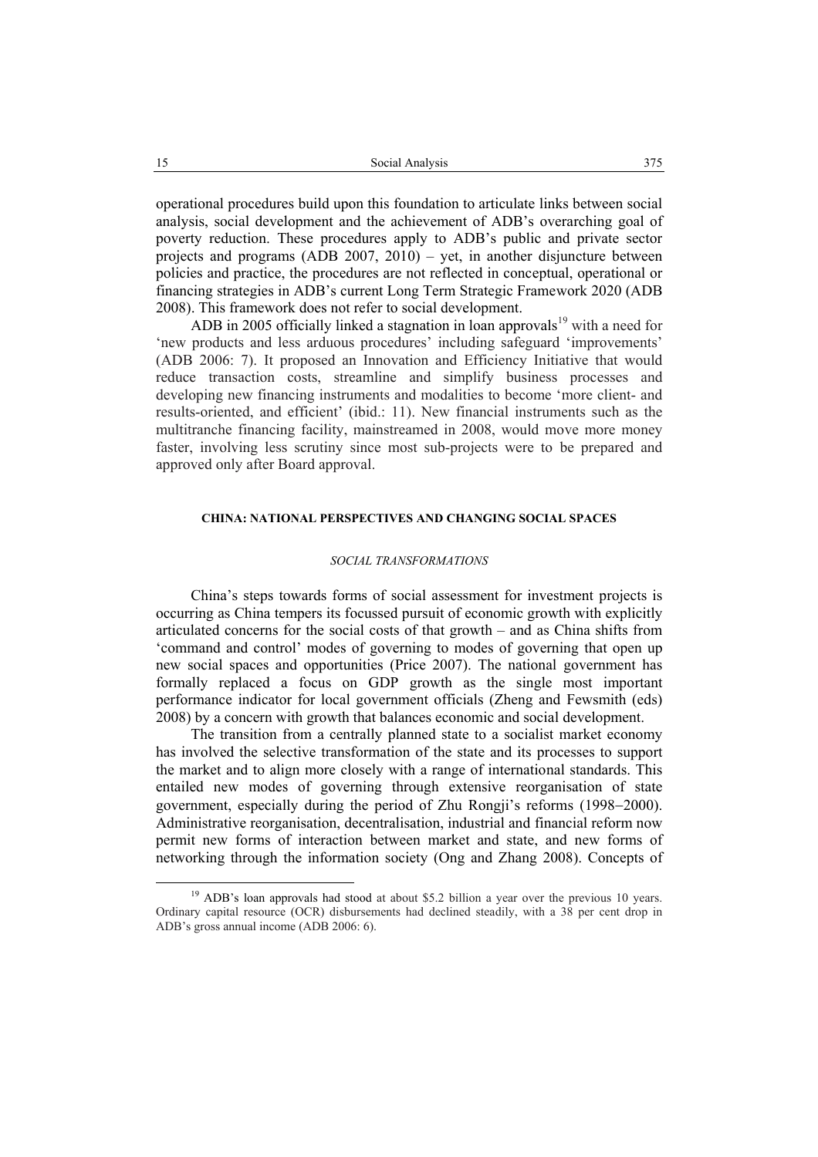operational procedures build upon this foundation to articulate links between social analysis, social development and the achievement of ADB's overarching goal of poverty reduction. These procedures apply to ADB's public and private sector projects and programs (ADB 2007, 2010) – yet, in another disjuncture between policies and practice, the procedures are not reflected in conceptual, operational or financing strategies in ADB's current Long Term Strategic Framework 2020 (ADB 2008). This framework does not refer to social development.

ADB in 2005 officially linked a stagnation in loan approvals<sup>19</sup> with a need for 'new products and less arduous procedures' including safeguard 'improvements' (ADB 2006: 7). It proposed an Innovation and Efficiency Initiative that would reduce transaction costs, streamline and simplify business processes and developing new financing instruments and modalities to become 'more client- and results-oriented, and efficient' (ibid.: 11). New financial instruments such as the multitranche financing facility, mainstreamed in 2008, would move more money faster, involving less scrutiny since most sub-projects were to be prepared and approved only after Board approval.

# **CHINA: NATIONAL PERSPECTIVES AND CHANGING SOCIAL SPACES**

#### *SOCIAL TRANSFORMATIONS*

China's steps towards forms of social assessment for investment projects is occurring as China tempers its focussed pursuit of economic growth with explicitly articulated concerns for the social costs of that growth – and as China shifts from 'command and control' modes of governing to modes of governing that open up new social spaces and opportunities (Price 2007). The national government has formally replaced a focus on GDP growth as the single most important performance indicator for local government officials (Zheng and Fewsmith (eds) 2008) by a concern with growth that balances economic and social development.

The transition from a centrally planned state to a socialist market economy has involved the selective transformation of the state and its processes to support the market and to align more closely with a range of international standards. This entailed new modes of governing through extensive reorganisation of state government, especially during the period of Zhu Rongji's reforms (1998−2000). Administrative reorganisation, decentralisation, industrial and financial reform now permit new forms of interaction between market and state, and new forms of networking through the information society (Ong and Zhang 2008). Concepts of

<sup>&</sup>lt;sup>19</sup> ADB's loan approvals had stood at about \$5.2 billion a year over the previous 10 years. Ordinary capital resource (OCR) disbursements had declined steadily, with a 38 per cent drop in ADB's gross annual income (ADB 2006: 6).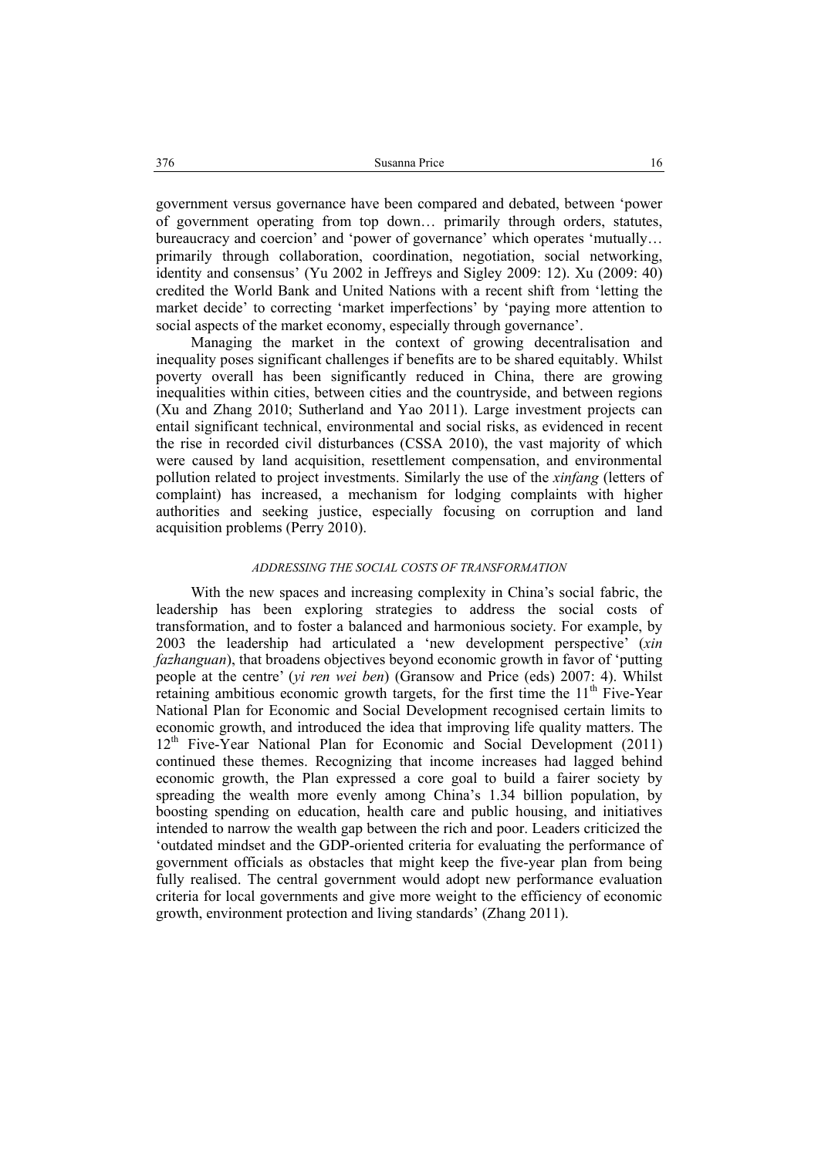government versus governance have been compared and debated, between 'power of government operating from top down… primarily through orders, statutes, bureaucracy and coercion' and 'power of governance' which operates 'mutually… primarily through collaboration, coordination, negotiation, social networking, identity and consensus' (Yu 2002 in Jeffreys and Sigley 2009: 12). Xu (2009: 40) credited the World Bank and United Nations with a recent shift from 'letting the market decide' to correcting 'market imperfections' by 'paying more attention to social aspects of the market economy, especially through governance'.

Managing the market in the context of growing decentralisation and inequality poses significant challenges if benefits are to be shared equitably. Whilst poverty overall has been significantly reduced in China, there are growing inequalities within cities, between cities and the countryside, and between regions (Xu and Zhang 2010; Sutherland and Yao 2011). Large investment projects can entail significant technical, environmental and social risks, as evidenced in recent the rise in recorded civil disturbances (CSSA 2010), the vast majority of which were caused by land acquisition, resettlement compensation, and environmental pollution related to project investments. Similarly the use of the *xinfang* (letters of complaint) has increased, a mechanism for lodging complaints with higher authorities and seeking justice, especially focusing on corruption and land acquisition problems (Perry 2010).

### *ADDRESSING THE SOCIAL COSTS OF TRANSFORMATION*

With the new spaces and increasing complexity in China's social fabric, the leadership has been exploring strategies to address the social costs of transformation, and to foster a balanced and harmonious society. For example, by 2003 the leadership had articulated a 'new development perspective' (*xin fazhanguan*), that broadens objectives beyond economic growth in favor of 'putting people at the centre' (*yi ren wei ben*) (Gransow and Price (eds) 2007: 4). Whilst retaining ambitious economic growth targets, for the first time the 11<sup>th</sup> Five-Year National Plan for Economic and Social Development recognised certain limits to economic growth, and introduced the idea that improving life quality matters. The 12<sup>th</sup> Five-Year National Plan for Economic and Social Development (2011) continued these themes. Recognizing that income increases had lagged behind economic growth, the Plan expressed a core goal to build a fairer society by spreading the wealth more evenly among China's 1.34 billion population, by boosting spending on education, health care and public housing, and initiatives intended to narrow the wealth gap between the rich and poor. Leaders criticized the 'outdated mindset and the GDP-oriented criteria for evaluating the performance of government officials as obstacles that might keep the five-year plan from being fully realised. The central government would adopt new performance evaluation criteria for local governments and give more weight to the efficiency of economic growth, environment protection and living standards' (Zhang 2011).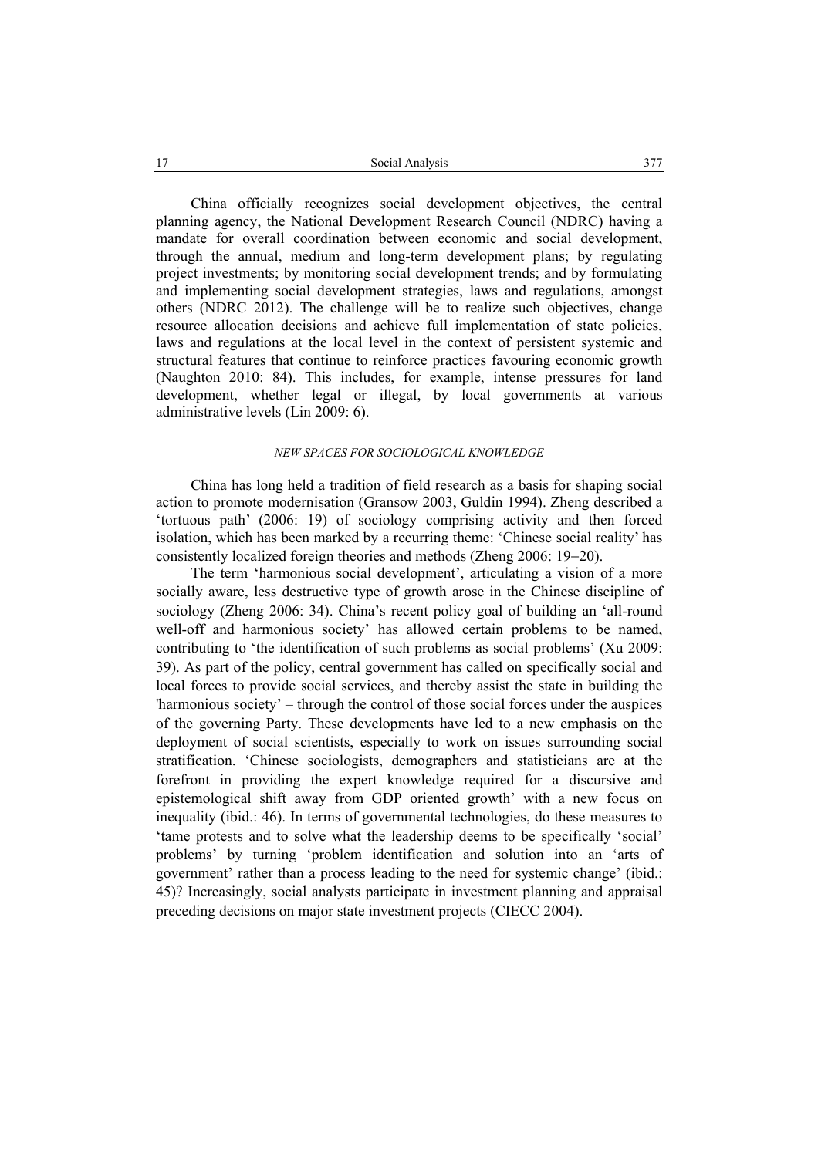China officially recognizes social development objectives, the central planning agency, the National Development Research Council (NDRC) having a mandate for overall coordination between economic and social development, through the annual, medium and long-term development plans; by regulating project investments; by monitoring social development trends; and by formulating and implementing social development strategies, laws and regulations, amongst others (NDRC 2012). The challenge will be to realize such objectives, change resource allocation decisions and achieve full implementation of state policies, laws and regulations at the local level in the context of persistent systemic and structural features that continue to reinforce practices favouring economic growth (Naughton 2010: 84). This includes, for example, intense pressures for land development, whether legal or illegal, by local governments at various administrative levels (Lin 2009: 6).

#### *NEW SPACES FOR SOCIOLOGICAL KNOWLEDGE*

China has long held a tradition of field research as a basis for shaping social action to promote modernisation (Gransow 2003, Guldin 1994). Zheng described a 'tortuous path' (2006: 19) of sociology comprising activity and then forced isolation, which has been marked by a recurring theme: 'Chinese social reality' has consistently localized foreign theories and methods (Zheng 2006: 19−20).

The term 'harmonious social development', articulating a vision of a more socially aware, less destructive type of growth arose in the Chinese discipline of sociology (Zheng 2006: 34). China's recent policy goal of building an 'all-round well-off and harmonious society' has allowed certain problems to be named, contributing to 'the identification of such problems as social problems' (Xu 2009: 39). As part of the policy, central government has called on specifically social and local forces to provide social services, and thereby assist the state in building the 'harmonious society' – through the control of those social forces under the auspices of the governing Party. These developments have led to a new emphasis on the deployment of social scientists, especially to work on issues surrounding social stratification. 'Chinese sociologists, demographers and statisticians are at the forefront in providing the expert knowledge required for a discursive and epistemological shift away from GDP oriented growth' with a new focus on inequality (ibid.: 46). In terms of governmental technologies, do these measures to 'tame protests and to solve what the leadership deems to be specifically 'social' problems' by turning 'problem identification and solution into an 'arts of government' rather than a process leading to the need for systemic change' (ibid.: 45)? Increasingly, social analysts participate in investment planning and appraisal preceding decisions on major state investment projects (CIECC 2004).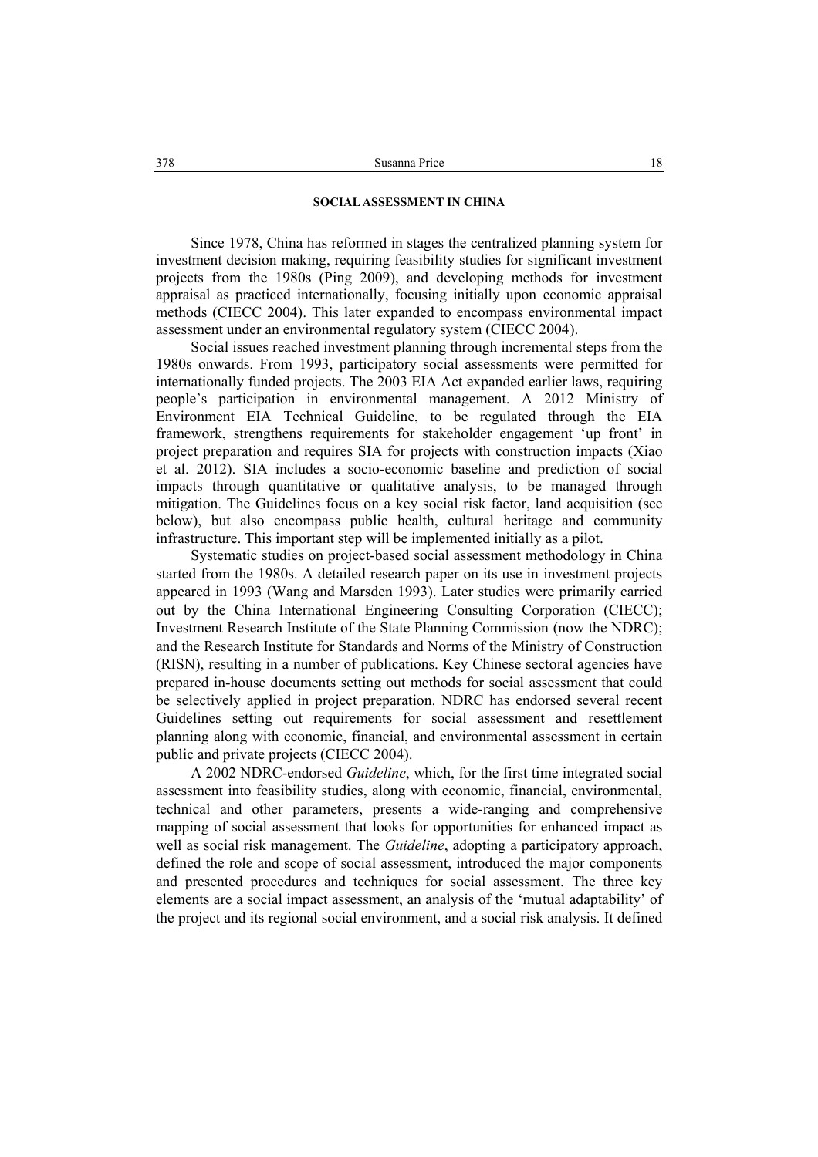### **SOCIAL ASSESSMENT IN CHINA**

Since 1978, China has reformed in stages the centralized planning system for investment decision making, requiring feasibility studies for significant investment projects from the 1980s (Ping 2009), and developing methods for investment appraisal as practiced internationally, focusing initially upon economic appraisal methods (CIECC 2004). This later expanded to encompass environmental impact assessment under an environmental regulatory system (CIECC 2004).

Social issues reached investment planning through incremental steps from the 1980s onwards. From 1993, participatory social assessments were permitted for internationally funded projects. The 2003 EIA Act expanded earlier laws, requiring people's participation in environmental management. A 2012 Ministry of Environment EIA Technical Guideline, to be regulated through the EIA framework, strengthens requirements for stakeholder engagement 'up front' in project preparation and requires SIA for projects with construction impacts (Xiao et al. 2012). SIA includes a socio-economic baseline and prediction of social impacts through quantitative or qualitative analysis, to be managed through mitigation. The Guidelines focus on a key social risk factor, land acquisition (see below), but also encompass public health, cultural heritage and community infrastructure. This important step will be implemented initially as a pilot.

Systematic studies on project-based social assessment methodology in China started from the 1980s. A detailed research paper on its use in investment projects appeared in 1993 (Wang and Marsden 1993). Later studies were primarily carried out by the China International Engineering Consulting Corporation (CIECC); Investment Research Institute of the State Planning Commission (now the NDRC); and the Research Institute for Standards and Norms of the Ministry of Construction (RISN), resulting in a number of publications. Key Chinese sectoral agencies have prepared in-house documents setting out methods for social assessment that could be selectively applied in project preparation. NDRC has endorsed several recent Guidelines setting out requirements for social assessment and resettlement planning along with economic, financial, and environmental assessment in certain public and private projects (CIECC 2004).

A 2002 NDRC-endorsed *Guideline*, which, for the first time integrated social assessment into feasibility studies, along with economic, financial, environmental, technical and other parameters, presents a wide-ranging and comprehensive mapping of social assessment that looks for opportunities for enhanced impact as well as social risk management. The *Guideline*, adopting a participatory approach, defined the role and scope of social assessment, introduced the major components and presented procedures and techniques for social assessment. The three key elements are a social impact assessment, an analysis of the 'mutual adaptability' of the project and its regional social environment, and a social risk analysis. It defined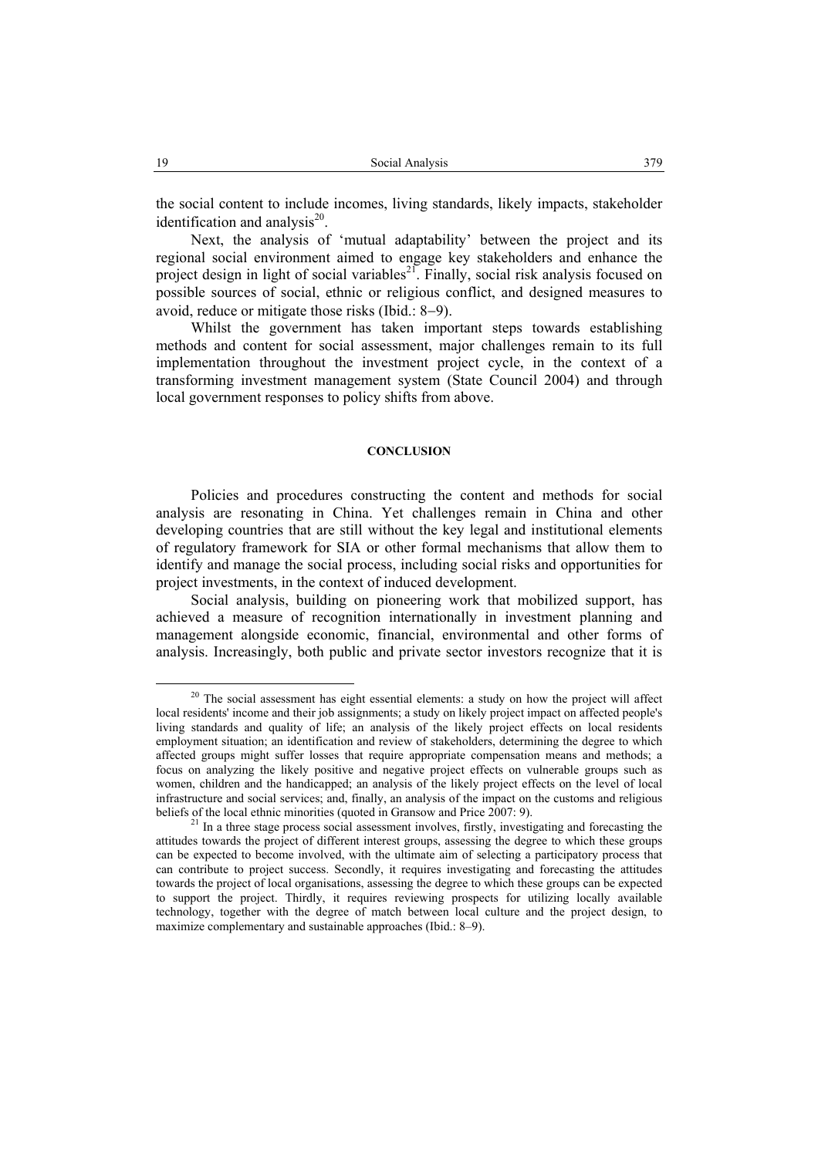the social content to include incomes, living standards, likely impacts, stakeholder identification and analysis $^{20}$ .

Next, the analysis of 'mutual adaptability' between the project and its regional social environment aimed to engage key stakeholders and enhance the project design in light of social variables $^{21}$ . Finally, social risk analysis focused on possible sources of social, ethnic or religious conflict, and designed measures to avoid, reduce or mitigate those risks (Ibid.: 8−9).

Whilst the government has taken important steps towards establishing methods and content for social assessment, major challenges remain to its full implementation throughout the investment project cycle, in the context of a transforming investment management system (State Council 2004) and through local government responses to policy shifts from above.

#### **CONCLUSION**

Policies and procedures constructing the content and methods for social analysis are resonating in China. Yet challenges remain in China and other developing countries that are still without the key legal and institutional elements of regulatory framework for SIA or other formal mechanisms that allow them to identify and manage the social process, including social risks and opportunities for project investments, in the context of induced development.

Social analysis, building on pioneering work that mobilized support, has achieved a measure of recognition internationally in investment planning and management alongside economic, financial, environmental and other forms of analysis. Increasingly, both public and private sector investors recognize that it is

 $20$  The social assessment has eight essential elements: a study on how the project will affect local residents' income and their job assignments; a study on likely project impact on affected people's living standards and quality of life; an analysis of the likely project effects on local residents employment situation; an identification and review of stakeholders, determining the degree to which affected groups might suffer losses that require appropriate compensation means and methods; a focus on analyzing the likely positive and negative project effects on vulnerable groups such as women, children and the handicapped; an analysis of the likely project effects on the level of local infrastructure and social services; and, finally, an analysis of the impact on the customs and religious beliefs of the local ethnic minorities (quoted in Gransow and Price 2007: 9).<br><sup>21</sup> In a three stage process social assessment involves, firstly, investigating and forecasting the

attitudes towards the project of different interest groups, assessing the degree to which these groups can be expected to become involved, with the ultimate aim of selecting a participatory process that can contribute to project success. Secondly, it requires investigating and forecasting the attitudes towards the project of local organisations, assessing the degree to which these groups can be expected to support the project. Thirdly, it requires reviewing prospects for utilizing locally available technology, together with the degree of match between local culture and the project design, to maximize complementary and sustainable approaches (Ibid.: 8–9).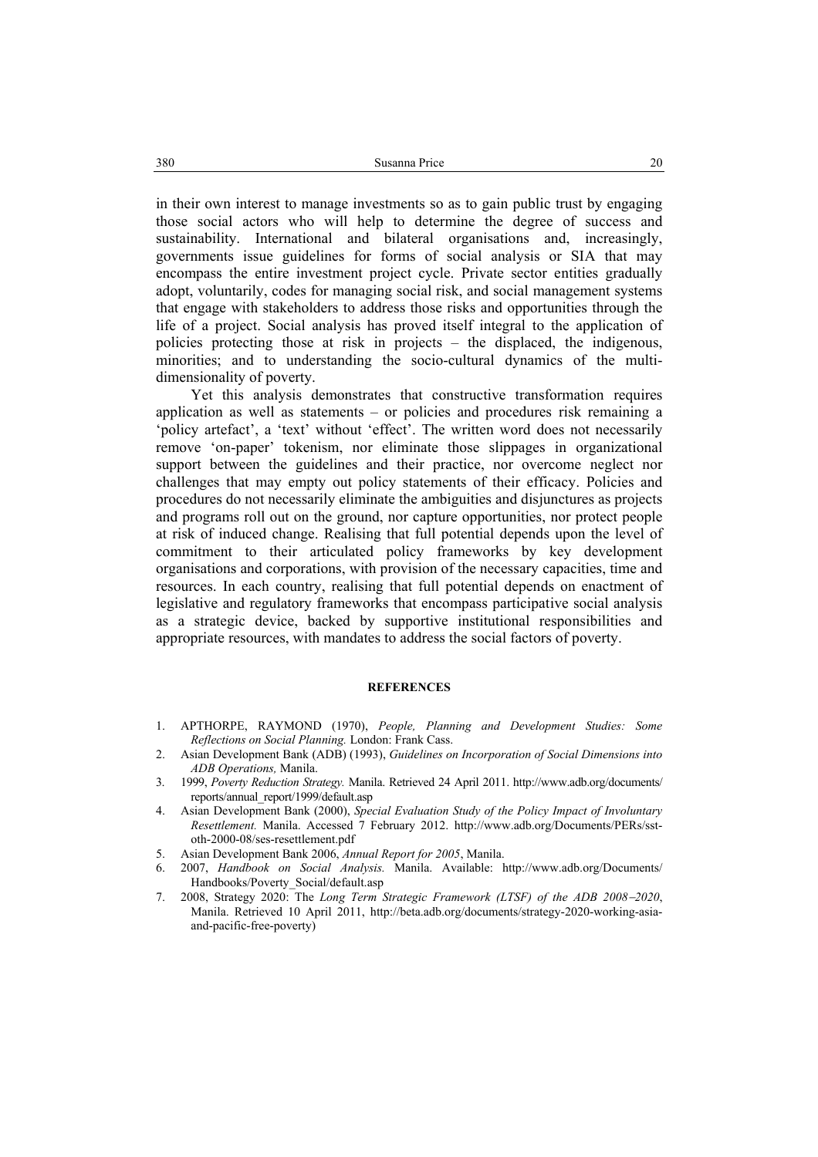in their own interest to manage investments so as to gain public trust by engaging those social actors who will help to determine the degree of success and sustainability. International and bilateral organisations and, increasingly, governments issue guidelines for forms of social analysis or SIA that may encompass the entire investment project cycle. Private sector entities gradually adopt, voluntarily, codes for managing social risk, and social management systems that engage with stakeholders to address those risks and opportunities through the life of a project. Social analysis has proved itself integral to the application of policies protecting those at risk in projects – the displaced, the indigenous, minorities; and to understanding the socio-cultural dynamics of the multidimensionality of poverty.

Yet this analysis demonstrates that constructive transformation requires application as well as statements – or policies and procedures risk remaining a 'policy artefact', a 'text' without 'effect'. The written word does not necessarily remove 'on-paper' tokenism, nor eliminate those slippages in organizational support between the guidelines and their practice, nor overcome neglect nor challenges that may empty out policy statements of their efficacy. Policies and procedures do not necessarily eliminate the ambiguities and disjunctures as projects and programs roll out on the ground, nor capture opportunities, nor protect people at risk of induced change. Realising that full potential depends upon the level of commitment to their articulated policy frameworks by key development organisations and corporations, with provision of the necessary capacities, time and resources. In each country, realising that full potential depends on enactment of legislative and regulatory frameworks that encompass participative social analysis as a strategic device, backed by supportive institutional responsibilities and appropriate resources, with mandates to address the social factors of poverty.

#### **REFERENCES**

- 1. APTHORPE, RAYMOND (1970), *People, Planning and Development Studies: Some Reflections on Social Planning.* London: Frank Cass.
- 2. Asian Development Bank (ADB) (1993), *Guidelines on Incorporation of Social Dimensions into ADB Operations,* Manila.
- 3. 1999, *Poverty Reduction Strategy.* Manila. Retrieved 24 April 2011. http://www.adb.org/documents/ reports/annual\_report/1999/default.asp
- 4. Asian Development Bank (2000), *Special Evaluation Study of the Policy Impact of Involuntary Resettlement.* Manila. Accessed 7 February 2012. http://www.adb.org/Documents/PERs/sstoth-2000-08/ses-resettlement.pdf
- 5. Asian Development Bank 2006, *Annual Report for 2005*, Manila.
- 6. 2007, *Handbook on Social Analysis.* Manila. Available: http://www.adb.org/Documents/ Handbooks/Poverty\_Social/default.asp
- 7. 2008, Strategy 2020: The *Long Term Strategic Framework (LTSF) of the ADB 2008*−*2020*, Manila. Retrieved 10 April 2011, http://beta.adb.org/documents/strategy-2020-working-asiaand-pacific-free-poverty)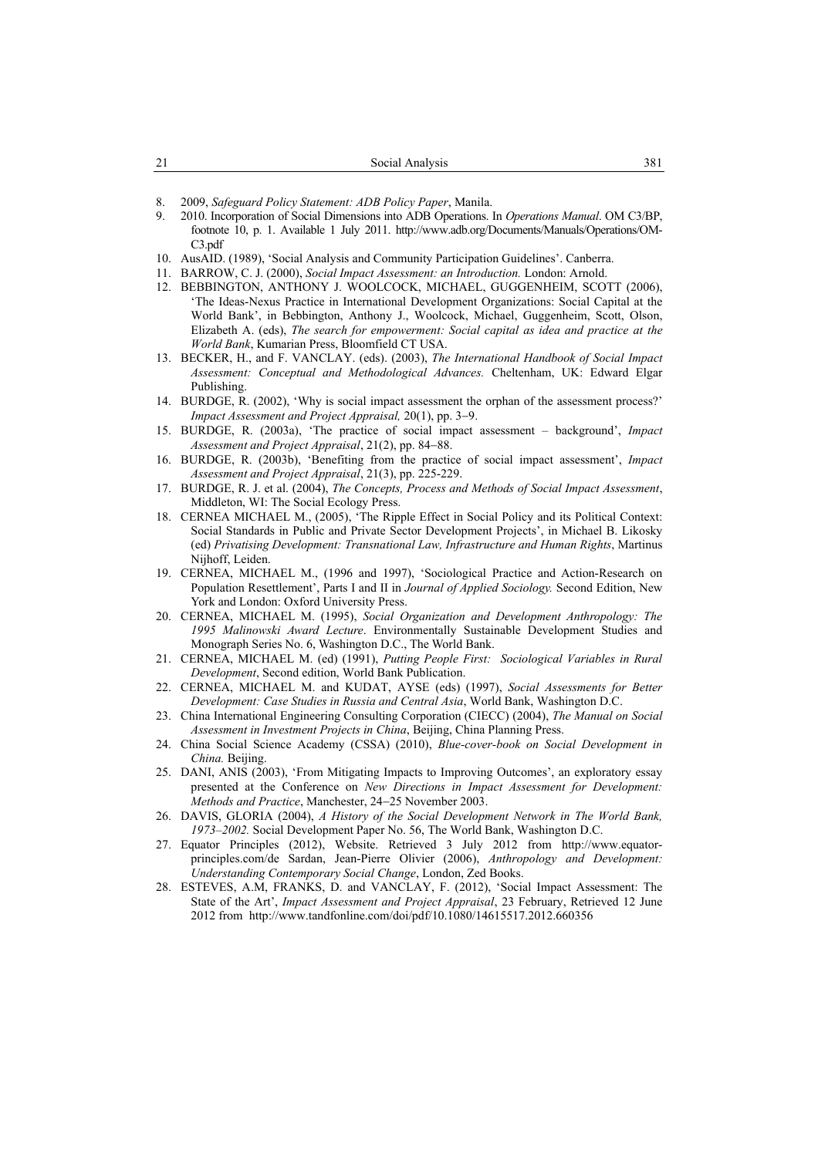- 8. 2009, *Safeguard Policy Statement: ADB Policy Paper*, Manila.
- 9. 2010. Incorporation of Social Dimensions into ADB Operations. In *Operations Manual*. OM C3/BP, footnote 10, p. 1. Available 1 July 2011. http://www.adb.org/Documents/Manuals/Operations/OM-C<sub>3</sub> ndf
- 10. AusAID. (1989), 'Social Analysis and Community Participation Guidelines'. Canberra.
- 11. BARROW, C. J. (2000), *Social Impact Assessment: an Introduction.* London: Arnold.
- 12. BEBBINGTON, ANTHONY J. WOOLCOCK, MICHAEL, GUGGENHEIM, SCOTT (2006), 'The Ideas-Nexus Practice in International Development Organizations: Social Capital at the World Bank', in Bebbington, Anthony J., Woolcock, Michael, Guggenheim, Scott, Olson, Elizabeth A. (eds), *The search for empowerment: Social capital as idea and practice at the World Bank*, Kumarian Press, Bloomfield CT USA.
- 13. BECKER, H., and F. VANCLAY. (eds). (2003), *The International Handbook of Social Impact Assessment: Conceptual and Methodological Advances.* Cheltenham, UK: Edward Elgar Publishing.
- 14. BURDGE, R. (2002), 'Why is social impact assessment the orphan of the assessment process?' *Impact Assessment and Project Appraisal,* 20(1), pp. 3−9.
- 15. BURDGE, R. (2003a), 'The practice of social impact assessment background', *Impact Assessment and Project Appraisal*, 21(2), pp. 84−88.
- 16. BURDGE, R. (2003b), 'Benefiting from the practice of social impact assessment', *Impact Assessment and Project Appraisal*, 21(3), pp. 225-229.
- 17. BURDGE, R. J. et al. (2004), *The Concepts, Process and Methods of Social Impact Assessment*, Middleton, WI: The Social Ecology Press.
- 18. CERNEA MICHAEL M., (2005), 'The Ripple Effect in Social Policy and its Political Context: Social Standards in Public and Private Sector Development Projects', in Michael B. Likosky (ed) *Privatising Development: Transnational Law, Infrastructure and Human Rights*, Martinus Nijhoff, Leiden.
- 19. CERNEA, MICHAEL M., (1996 and 1997), 'Sociological Practice and Action-Research on Population Resettlement', Parts I and II in *Journal of Applied Sociology.* Second Edition, New York and London: Oxford University Press.
- 20. CERNEA, MICHAEL M. (1995), *Social Organization and Development Anthropology: The 1995 Malinowski Award Lecture*. Environmentally Sustainable Development Studies and Monograph Series No. 6, Washington D.C., The World Bank.
- 21. CERNEA, MICHAEL M. (ed) (1991), *Putting People First: Sociological Variables in Rural Development*, Second edition, World Bank Publication.
- 22. CERNEA, MICHAEL M. and KUDAT, AYSE (eds) (1997), *Social Assessments for Better Development: Case Studies in Russia and Central Asia*, World Bank, Washington D.C.
- 23. China International Engineering Consulting Corporation (CIECC) (2004), *The Manual on Social Assessment in Investment Projects in China*, Beijing, China Planning Press.
- 24. China Social Science Academy (CSSA) (2010), *Blue-cover-book on Social Development in China.* Beijing.
- 25. DANI, ANIS (2003), 'From Mitigating Impacts to Improving Outcomes', an exploratory essay presented at the Conference on *New Directions in Impact Assessment for Development: Methods and Practice*, Manchester, 24−25 November 2003.
- 26. DAVIS, GLORIA (2004), *A History of the Social Development Network in The World Bank, 1973–2002.* Social Development Paper No. 56, The World Bank, Washington D.C.
- 27. Equator Principles (2012), Website. Retrieved 3 July 2012 from http://www.equatorprinciples.com/de Sardan, Jean-Pierre Olivier (2006), *Anthropology and Development: Understanding Contemporary Social Change*, London, Zed Books.
- 28. ESTEVES, A.M, FRANKS, D. and VANCLAY, F. (2012), 'Social Impact Assessment: The State of the Art', *Impact Assessment and Project Appraisal*, 23 February, Retrieved 12 June 2012 from http://www.tandfonline.com/doi/pdf/10.1080/14615517.2012.660356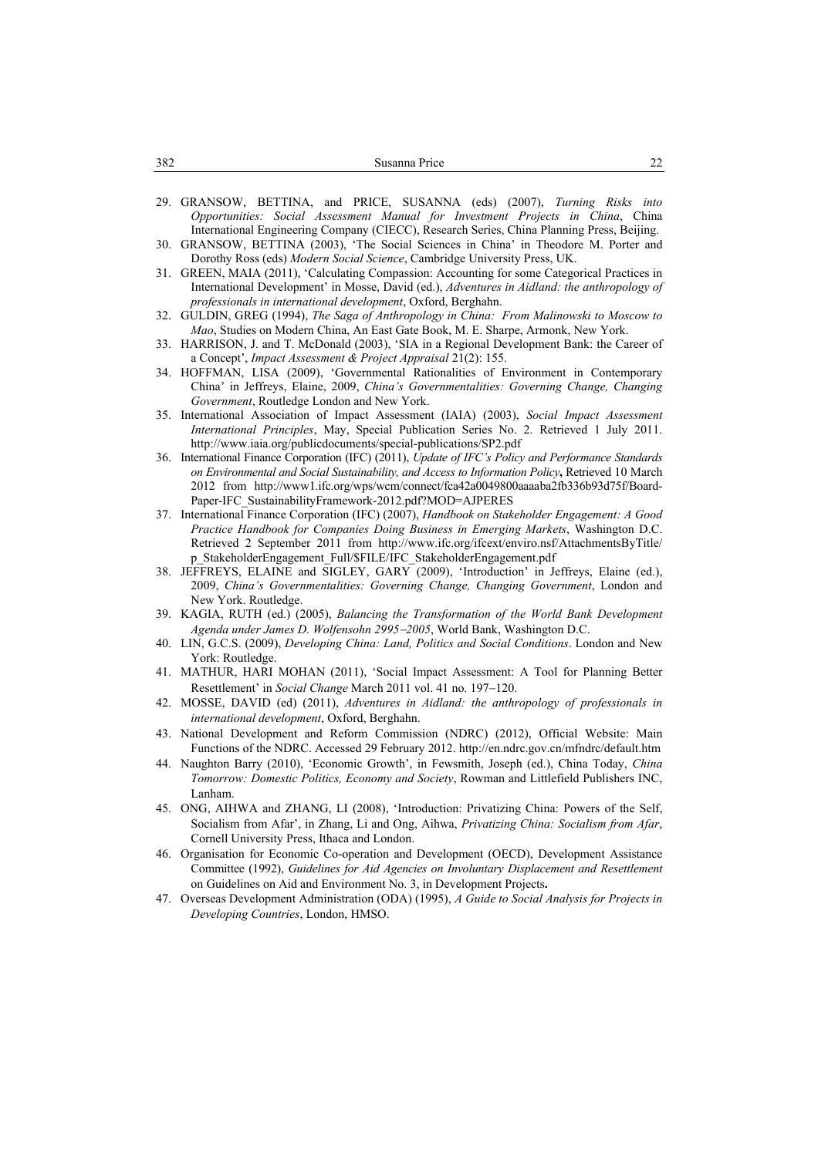| 382<br>Susanna Price |
|----------------------|
|----------------------|

- 29. GRANSOW, BETTINA, and PRICE, SUSANNA (eds) (2007), *Turning Risks into Opportunities: Social Assessment Manual for Investment Projects in China*, China International Engineering Company (CIECC), Research Series, China Planning Press, Beijing.
- 30. GRANSOW, BETTINA (2003), 'The Social Sciences in China' in Theodore M. Porter and Dorothy Ross (eds) *Modern Social Science*, Cambridge University Press, UK.
- 31. GREEN, MAIA (2011), 'Calculating Compassion: Accounting for some Categorical Practices in International Development' in Mosse, David (ed.), *Adventures in Aidland: the anthropology of professionals in international development*, Oxford, Berghahn.
- 32. GULDIN, GREG (1994), *The Saga of Anthropology in China: From Malinowski to Moscow to Mao*, Studies on Modern China, An East Gate Book, M. E. Sharpe, Armonk, New York.
- 33. HARRISON, J. and T. McDonald (2003), 'SIA in a Regional Development Bank: the Career of a Concept', *Impact Assessment & Project Appraisal* 21(2): 155.
- 34. HOFFMAN, LISA (2009), 'Governmental Rationalities of Environment in Contemporary China' in Jeffreys, Elaine, 2009, *China's Governmentalities: Governing Change, Changing Government*, Routledge London and New York.
- 35. International Association of Impact Assessment (IAIA) (2003), *Social Impact Assessment International Principles*, May, Special Publication Series No. 2. Retrieved 1 July 2011. http://www.iaia.org/publicdocuments/special-publications/SP2.pdf
- 36. International Finance Corporation (IFC) (2011), *Update of IFC's Policy and Performance Standards on Environmental and Social Sustainability, and Access to Information Policy***,** Retrieved 10 March 2012 from http://www1.ifc.org/wps/wcm/connect/fca42a0049800aaaaba2fb336b93d75f/Board-Paper-IFC\_SustainabilityFramework-2012.pdf?MOD=AJPERES
- 37. International Finance Corporation (IFC) (2007), *Handbook on Stakeholder Engagement: A Good Practice Handbook for Companies Doing Business in Emerging Markets*, Washington D.C. Retrieved 2 September 2011 from http://www.ifc.org/ifcext/enviro.nsf/AttachmentsByTitle/ p\_StakeholderEngagement\_Full/\$FILE/IFC\_StakeholderEngagement.pdf
- 38. JEFFREYS, ELAINE and SIGLEY, GARY (2009), 'Introduction' in Jeffreys, Elaine (ed.), 2009, *China's Governmentalities: Governing Change, Changing Government*, London and New York. Routledge.
- 39. KAGIA, RUTH (ed.) (2005), *Balancing the Transformation of the World Bank Development Agenda under James D. Wolfensohn 2995*−*2005*, World Bank, Washington D.C.
- 40. LIN, G.C.S. (2009), *Developing China: Land, Politics and Social Conditions*. London and New York: Routledge.
- 41. MATHUR, HARI MOHAN (2011), 'Social Impact Assessment: A Tool for Planning Better Resettlement' in *Social Change* March 2011 vol. 41 no. 197−120.
- 42. MOSSE, DAVID (ed) (2011), *Adventures in Aidland: the anthropology of professionals in international development*, Oxford, Berghahn.
- 43. National Development and Reform Commission (NDRC) (2012), Official Website: Main Functions of the NDRC. Accessed 29 February 2012. http://en.ndrc.gov.cn/mfndrc/default.htm
- 44. Naughton Barry (2010), 'Economic Growth', in Fewsmith, Joseph (ed.), China Today, *China Tomorrow: Domestic Politics, Economy and Society*, Rowman and Littlefield Publishers INC, Lanham.
- 45. ONG, AIHWA and ZHANG, LI (2008), 'Introduction: Privatizing China: Powers of the Self, Socialism from Afar', in Zhang, Li and Ong, Aihwa, *Privatizing China: Socialism from Afar*, Cornell University Press, Ithaca and London.
- 46. Organisation for Economic Co-operation and Development (OECD), Development Assistance Committee (1992), *Guidelines for Aid Agencies on Involuntary Displacement and Resettlement* on Guidelines on Aid and Environment No. 3, in Development Projects**.**
- 47. Overseas Development Administration (ODA) (1995), *A Guide to Social Analysis for Projects in Developing Countries*, London, HMSO.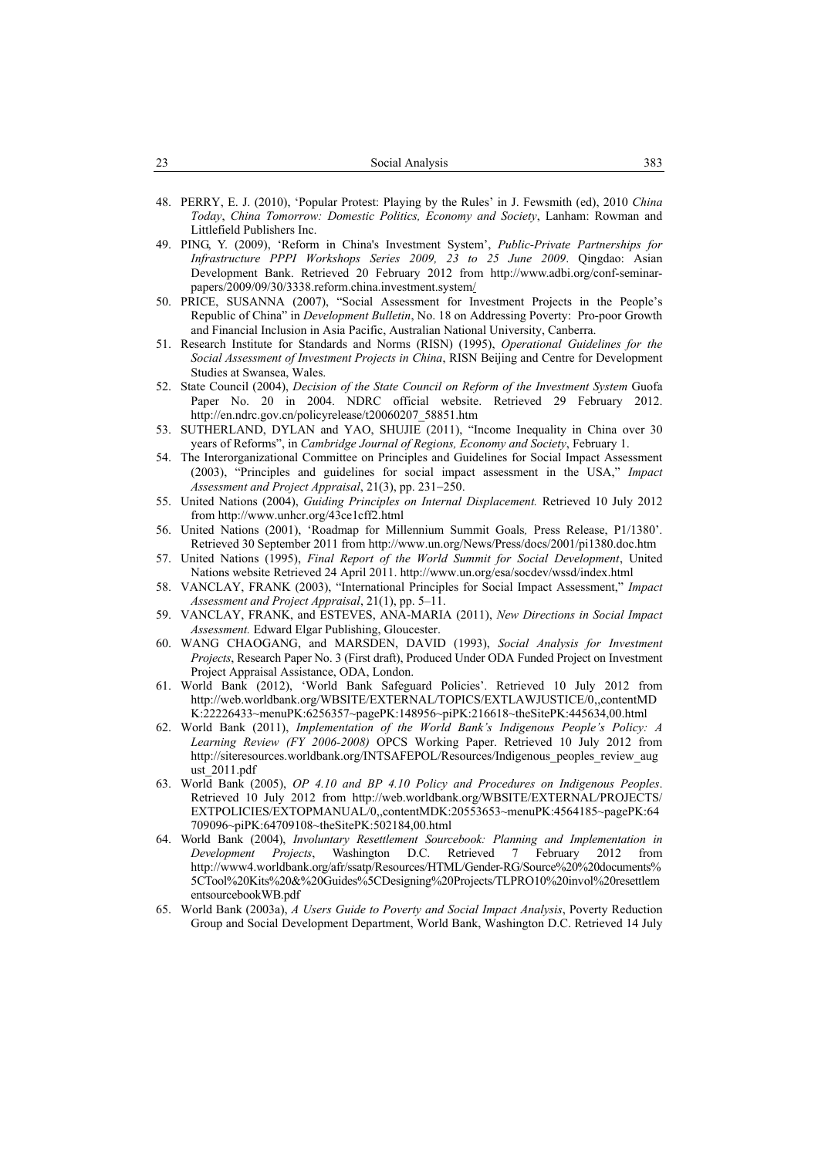| າາ<br>ر ے | Social Analysis | າດາ<br>دەد |
|-----------|-----------------|------------|
|           |                 |            |

- 48. PERRY, E. J. (2010), 'Popular Protest: Playing by the Rules' in J. Fewsmith (ed), 2010 *China Today*, *China Tomorrow: Domestic Politics, Economy and Society*, Lanham: Rowman and Littlefield Publishers Inc.
- 49. PING, Y. (2009), 'Reform in China's Investment System', *Public-Private Partnerships for Infrastructure PPPI Workshops Series 2009, 23 to 25 June 2009*. Qingdao: Asian Development Bank. Retrieved 20 February 2012 from http://www.adbi.org/conf-seminarpapers/2009/09/30/3338.reform.china.investment.system/
- 50. PRICE, SUSANNA (2007), "Social Assessment for Investment Projects in the People's Republic of China" in *Development Bulletin*, No. 18 on Addressing Poverty: Pro-poor Growth and Financial Inclusion in Asia Pacific, Australian National University, Canberra.
- 51. Research Institute for Standards and Norms (RISN) (1995), *Operational Guidelines for the Social Assessment of Investment Projects in China*, RISN Beijing and Centre for Development Studies at Swansea, Wales.
- 52. State Council (2004), *Decision of the State Council on Reform of the Investment System* Guofa Paper No. 20 in 2004. NDRC official website. Retrieved 29 February 2012. http://en.ndrc.gov.cn/policyrelease/t20060207\_58851.htm
- 53. SUTHERLAND, DYLAN and YAO, SHUJIE (2011), "Income Inequality in China over 30 years of Reforms", in *Cambridge Journal of Regions, Economy and Society*, February 1.
- 54. The Interorganizational Committee on Principles and Guidelines for Social Impact Assessment (2003), "Principles and guidelines for social impact assessment in the USA," *Impact Assessment and Project Appraisal*, 21(3), pp. 231−250.
- 55. United Nations (2004), *Guiding Principles on Internal Displacement.* Retrieved 10 July 2012 from http://www.unhcr.org/43ce1cff2.html
- 56. United Nations (2001), 'Roadmap for Millennium Summit Goals*,* Press Release, P1/1380'. Retrieved 30 September 2011 from http://www.un.org/News/Press/docs/2001/pi1380.doc.htm
- 57. United Nations (1995), *Final Report of the World Summit for Social Development*, United Nations website Retrieved 24 April 2011. http://www.un.org/esa/socdev/wssd/index.html
- 58. VANCLAY, FRANK (2003), "International Principles for Social Impact Assessment," *Impact Assessment and Project Appraisal*, 21(1), pp. 5–11.
- 59. VANCLAY, FRANK, and ESTEVES, ANA-MARIA (2011), *New Directions in Social Impact Assessment.* Edward Elgar Publishing, Gloucester.
- 60. WANG CHAOGANG, and MARSDEN, DAVID (1993), *Social Analysis for Investment Projects*, Research Paper No. 3 (First draft), Produced Under ODA Funded Project on Investment Project Appraisal Assistance, ODA, London.
- 61. World Bank (2012), 'World Bank Safeguard Policies'. Retrieved 10 July 2012 from http://web.worldbank.org/WBSITE/EXTERNAL/TOPICS/EXTLAWJUSTICE/0,,contentMD K:22226433~menuPK:6256357~pagePK:148956~piPK:216618~theSitePK:445634,00.html
- 62. World Bank (2011), *Implementation of the World Bank's Indigenous People's Policy: A Learning Review (FY 2006-2008)* OPCS Working Paper. Retrieved 10 July 2012 from http://siteresources.worldbank.org/INTSAFEPOL/Resources/Indigenous peoples review aug ust\_2011.pdf
- 63. World Bank (2005), *OP 4.10 and BP 4.10 Policy and Procedures on Indigenous Peoples*. Retrieved 10 July 2012 from http://web.worldbank.org/WBSITE/EXTERNAL/PROJECTS/ EXTPOLICIES/EXTOPMANUAL/0,,contentMDK:20553653~menuPK:4564185~pagePK:64 709096~piPK:64709108~theSitePK:502184,00.html
- 64. World Bank (2004), *Involuntary Resettlement Sourcebook: Planning and Implementation in Development Projects*, Washington D.C. Retrieved 7 February 2012 from http://www4.worldbank.org/afr/ssatp/Resources/HTML/Gender-RG/Source%20%20documents% 5CTool%20Kits%20&%20Guides%5CDesigning%20Projects/TLPRO10%20invol%20resettlem entsourcebookWB.pdf
- 65. World Bank (2003a), *A Users Guide to Poverty and Social Impact Analysis*, Poverty Reduction Group and Social Development Department, World Bank, Washington D.C. Retrieved 14 July